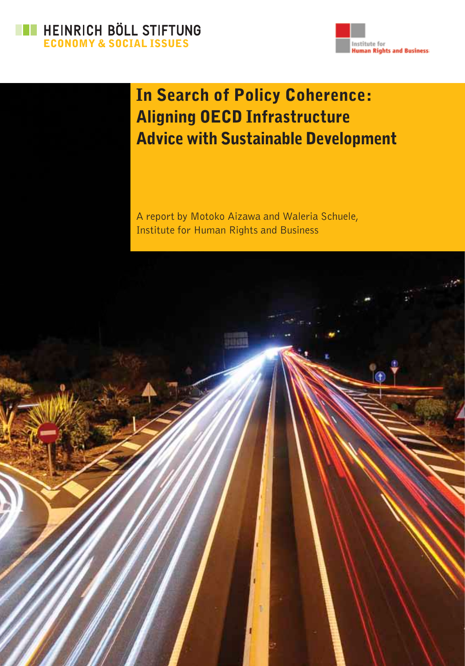



## In Search of Policy Coherence: Aligning OECD Infrastructure Advice with Sustainable Development

A report by Motoko Aizawa and Waleria Schuele, Institute for Human Rights and Business

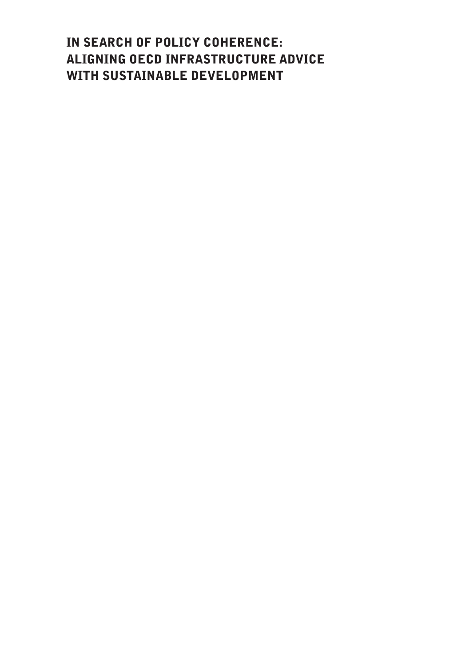## In Search of Policy Coherence: Aligning OECD Infrastructure Advice with Sustainable Development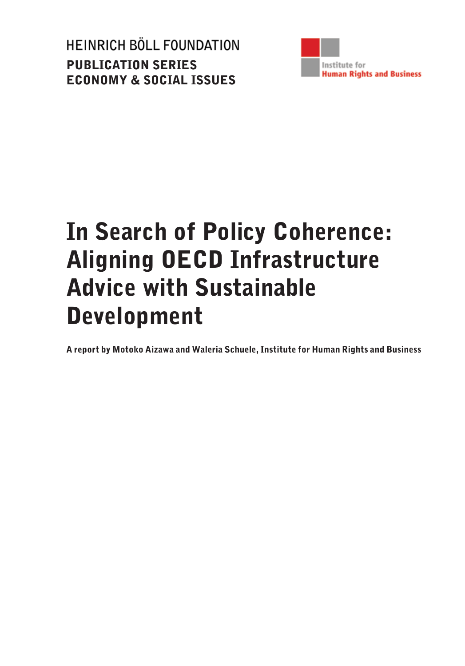HEINRICH BÖLL FOUNDATION Publication Series Economy & Social Issues



# In Search of Policy Coherence: Aligning OECD Infrastructure Advice with Sustainable Development

A report by Motoko Aizawa and Waleria Schuele, Institute for Human Rights and Business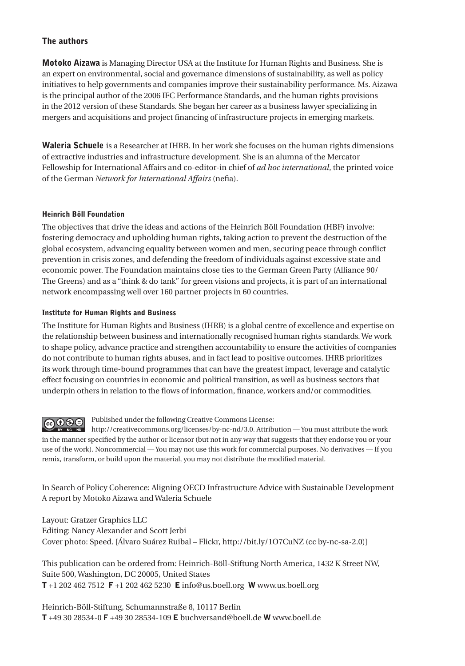#### The authors

Motoko Aizawa is Managing Director USA at the Institute for Human Rights and Business. She is an expert on environmental, social and governance dimensions of sustainability, as well as policy initiatives to help governments and companies improve their sustainability performance. Ms. Aizawa is the principal author of the 2006 IFC Performance Standards, and the human rights provisions in the 2012 version of these Standards. She began her career as a business lawyer specializing in mergers and acquisitions and project financing of infrastructure projects in emerging markets.

Waleria Schuele is a Researcher at IHRB. In her work she focuses on the human rights dimensions of extractive industries and infrastructure development. She is an alumna of the Mercator Fellowship for International Affairs and co-editor-in chief of *ad hoc international*, the printed voice of the German *Network for International Affairs* (nefia).

#### Heinrich Böll Foundation

The objectives that drive the ideas and actions of the Heinrich Böll Foundation (HBF) involve: fostering democracy and upholding human rights, taking action to prevent the destruction of the global ecosystem, advancing equality between women and men, securing peace through conflict prevention in crisis zones, and defending the freedom of individuals against excessive state and economic power. The Foundation maintains close ties to the German Green Party (Alliance 90/ The Greens) and as a "think & do tank" for green visions and projects, it is part of an international network encompassing well over 160 partner projects in 60 countries.

#### Institute for Human Rights and Business

The Institute for Human Rights and Business (IHRB) is a global centre of excellence and expertise on the relationship between business and internationally recognised human rights standards. We work to shape policy, advance practice and strengthen accountability to ensure the activities of companies do not contribute to human rights abuses, and in fact lead to positive outcomes. IHRB prioritizes its work through time-bound programmes that can have the greatest impact, leverage and catalytic effect focusing on countries in economic and political transition, as well as business sectors that underpin others in relation to the flows of information, finance, workers and/or commodities.



Published under the following Creative Commons License:

http://creativecommons.org/licenses/by-nc-nd/3.0. Attribution — You must attribute the work BY NC ND in the manner specified by the author or licensor (but not in any way that suggests that they endorse you or your use of the work). Noncommercial — You may not use this work for commercial purposes. No derivatives — If you remix, transform, or build upon the material, you may not distribute the modified material.

In Search of Policy Coherence: Aligning OECD Infrastructure Advice with Sustainable Development A report by Motoko Aizawa and Waleria Schuele

Layout: Gratzer Graphics LLC Editing: Nancy Alexander and Scott Jerbi Cover photo: Speed. [\[Álvaro Suárez Ruibal](https://www.flickr.com/photos/alvasur/4276814949/in/photolist-36xkGr-qCDHaj-53tmsw-6ExgHD-43Nus-6mnrrz-3QHNwP-gbVGkP-bRpoPz-mr2zsU-gouj3k-QMktS-6RQh4p-aaYpt5-8McSTo-6rNawe-arXC3L-7vVN5M-afEu4o-dmP9Qh-2euPzE-q2ne4-75bkeW-2Kuosm-q6xbQN-87iTve-djR9r-niAXry-4BJWrU-7kiiEN-9T8XaV-8gsumL-7A6E5Y-niC99x-vwpVu-9m92M6-doPzkr-biTteT-9Auzue-pvC3xU-6DDvQP-8gstEj-5F7c9W-4duuGf-8RaEzb-6aAq7T-q2kNZ-5ALZjo-e4YVLU-7psECa) – Flickr, http://bit.ly/1O7CuNZ (cc by-nc-sa-2.0)]

This publication can be ordered from: Heinrich-Böll-Stiftung North America, 1432 K Street NW, Suite 500, Washington, DC 20005, United States T +1 202 462 7512 F +1 202 462 5230 E info@us.boell.org W www.us.boell.org

Heinrich-Böll-Stiftung, Schumannstraße 8, 10117 Berlin T +49 30 28534-0 F +49 30 28534-109 E buchversand@boell.de W www.boell.de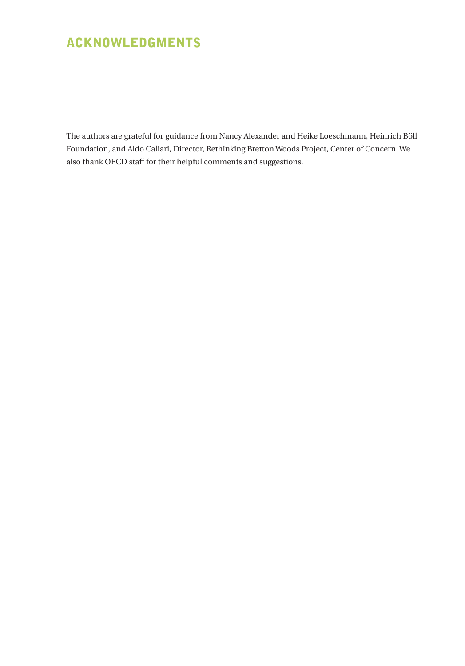## Acknowledgments

The authors are grateful for guidance from Nancy Alexander and Heike Loeschmann, Heinrich Böll Foundation, and Aldo Caliari, Director, Rethinking Bretton Woods Project, Center of Concern. We also thank OECD staff for their helpful comments and suggestions.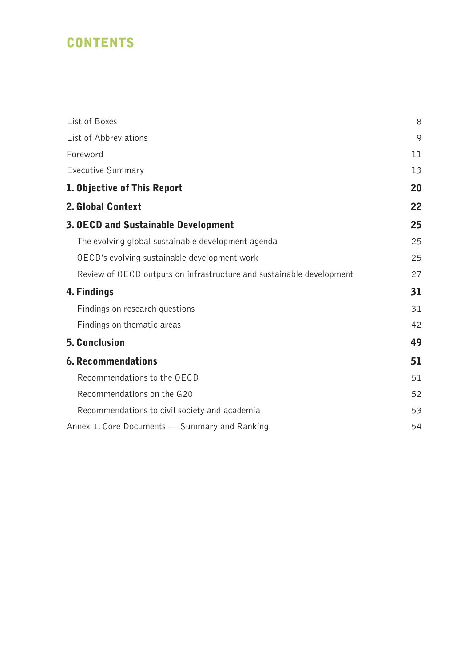## **CONTENTS**

| List of Boxes                                                        | 8  |
|----------------------------------------------------------------------|----|
| List of Abbreviations                                                | 9  |
| Foreword                                                             | 11 |
| Executive Summary                                                    | 13 |
| 1. Objective of This Report                                          | 20 |
| 2. Global Context                                                    | 22 |
| <b>3. OECD and Sustainable Development</b>                           | 25 |
| The evolving global sustainable development agenda                   | 25 |
| OECD's evolving sustainable development work                         | 25 |
| Review of OECD outputs on infrastructure and sustainable development | 27 |
| 4. Findings                                                          | 31 |
| Findings on research questions                                       | 31 |
| Findings on thematic areas                                           | 42 |
| 5. Conclusion                                                        | 49 |
| <b>6. Recommendations</b>                                            | 51 |
| Recommendations to the OECD                                          | 51 |
| Recommendations on the G20                                           | 52 |
| Recommendations to civil society and academia                        | 53 |
| Annex 1. Core Documents - Summary and Ranking                        | 54 |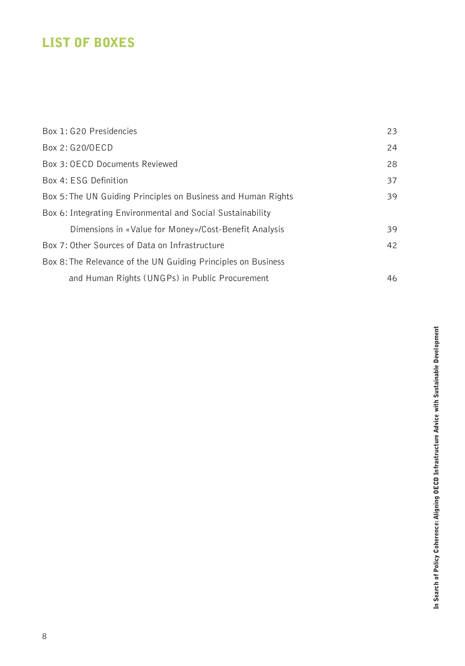## <span id="page-9-0"></span>List of Boxes

| Box 1: G20 Presidencies                                       | 23 |
|---------------------------------------------------------------|----|
| Box 2: G20/OECD                                               | 24 |
| Box 3: OECD Documents Reviewed                                | 28 |
| Box 4: ESG Definition                                         | 37 |
| Box 5: The UN Guiding Principles on Business and Human Rights | 39 |
| Box 6: Integrating Environmental and Social Sustainability    |    |
| Dimensions in «Value for Money»/Cost-Benefit Analysis         | 39 |
| Box 7: Other Sources of Data on Infrastructure                | 42 |
| Box 8: The Relevance of the UN Guiding Principles on Business |    |
| and Human Rights (UNGPs) in Public Procurement                | 46 |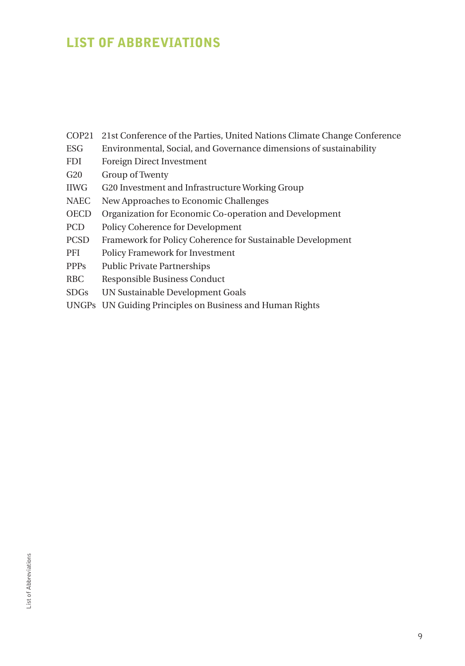## <span id="page-10-0"></span>List of Abbreviations

- COP21 21st Conference of the Parties, United Nations Climate Change Conference
- ESG Environmental, Social, and Governance dimensions of sustainability
- FDI Foreign Direct Investment
- G20 Group of Twenty
- IIWG G20 Investment and Infrastructure Working Group
- NAEC New Approaches to Economic Challenges
- OECD Organization for Economic Co-operation and Development
- PCD Policy Coherence for Development
- PCSD Framework for Policy Coherence for Sustainable Development
- PFI Policy Framework for Investment
- PPPs Public Private Partnerships
- RBC Responsible Business Conduct
- SDGs UN Sustainable Development Goals
- UNGPs UN Guiding Principles on Business and Human Rights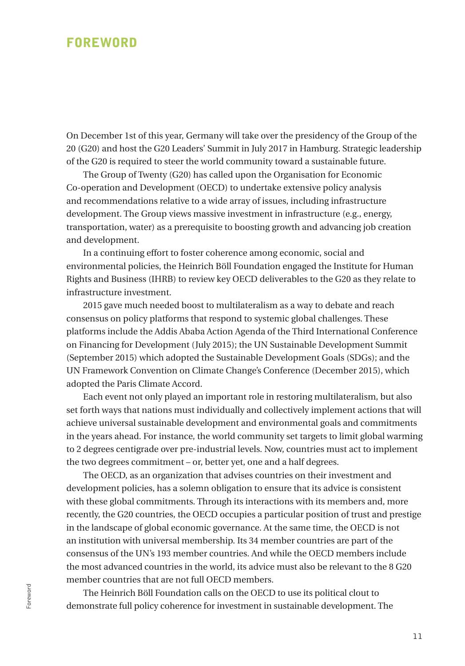### <span id="page-12-0"></span>**FOREWORD**

On December 1st of this year, Germany will take over the presidency of the Group of the 20 (G20) and host the G20 Leaders' Summit in July 2017 in Hamburg. Strategic leadership of the G20 is required to steer the world community toward a sustainable future.

The Group of Twenty (G20) has called upon the Organisation for Economic Co-operation and Development (OECD) to undertake extensive policy analysis and recommendations relative to a wide array of issues, including infrastructure development. The Group views massive investment in infrastructure (e.g., energy, transportation, water) as a prerequisite to boosting growth and advancing job creation and development.

In a continuing effort to foster coherence among economic, social and environmental policies, the Heinrich Böll Foundation engaged the Institute for Human Rights and Business (IHRB) to review key OECD deliverables to the G20 as they relate to infrastructure investment.

2015 gave much needed boost to multilateralism as a way to debate and reach consensus on policy platforms that respond to systemic global challenges. These platforms include the Addis Ababa Action Agenda of the Third International Conference on Financing for Development (July 2015); the UN Sustainable Development Summit (September 2015) which adopted the Sustainable Development Goals (SDGs); and the UN Framework Convention on Climate Change's Conference (December 2015), which adopted the Paris Climate Accord.

Each event not only played an important role in restoring multilateralism, but also set forth ways that nations must individually and collectively implement actions that will achieve universal sustainable development and environmental goals and commitments in the years ahead. For instance, the world community set targets to limit global warming to 2 degrees centigrade over pre-industrial levels. Now, countries must act to implement the two degrees commitment – or, better yet, one and a half degrees.

The OECD, as an organization that advises countries on their investment and development policies, has a solemn obligation to ensure that its advice is consistent with these global commitments. Through its interactions with its members and, more recently, the G20 countries, the OECD occupies a particular position of trust and prestige in the landscape of global economic governance. At the same time, the OECD is not an institution with universal membership. Its 34 member countries are part of the consensus of the UN's 193 member countries. And while the OECD members include the most advanced countries in the world, its advice must also be relevant to the 8 G20 member countries that are not full OECD members.

The Heinrich Böll Foundation calls on the OECD to use its political clout to demonstrate full policy coherence for investment in sustainable development. The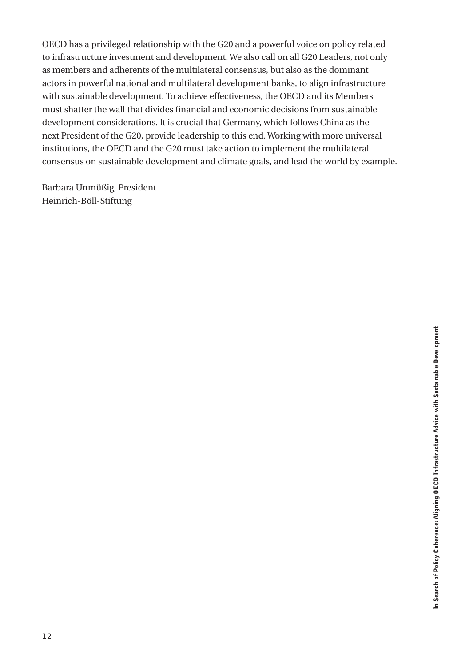OECD has a privileged relationship with the G20 and a powerful voice on policy related to infrastructure investment and development. We also call on all G20 Leaders, not only as members and adherents of the multilateral consensus, but also as the dominant actors in powerful national and multilateral development banks, to align infrastructure with sustainable development. To achieve effectiveness, the OECD and its Members must shatter the wall that divides financial and economic decisions from sustainable development considerations. It is crucial that Germany, which follows China as the next President of the G20, provide leadership to this end. Working with more universal institutions, the OECD and the G20 must take action to implement the multilateral consensus on sustainable development and climate goals, and lead the world by example.

Barbara Unmüßig, President Heinrich-Böll-Stiftung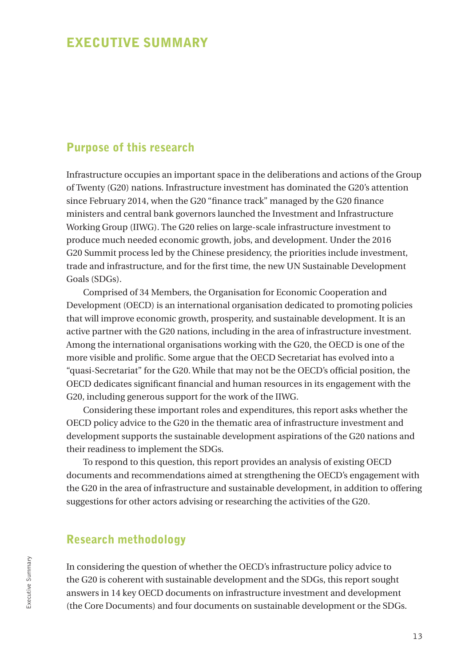### <span id="page-14-0"></span>Executive Summary

#### Purpose of this research

Infrastructure occupies an important space in the deliberations and actions of the Group of Twenty (G20) nations. Infrastructure investment has dominated the G20's attention since February 2014, when the G20 "finance track" managed by the G20 finance ministers and central bank governors launched the Investment and Infrastructure Working Group (IIWG). The G20 relies on large-scale infrastructure investment to produce much needed economic growth, jobs, and development. Under the 2016 G20 Summit process led by the Chinese presidency, the priorities include investment, trade and infrastructure, and for the first time, the new UN Sustainable Development Goals (SDGs).

Comprised of 34 Members, the Organisation for Economic Cooperation and Development (OECD) is an international organisation dedicated to promoting policies that will improve economic growth, prosperity, and sustainable development. It is an active partner with the G20 nations, including in the area of infrastructure investment. Among the international organisations working with the G20, the OECD is one of the more visible and prolific. Some argue that the OECD Secretariat has evolved into a "quasi-Secretariat" for the G20. While that may not be the OECD's official position, the OECD dedicates significant financial and human resources in its engagement with the G20, including generous support for the work of the IIWG.

Considering these important roles and expenditures, this report asks whether the OECD policy advice to the G20 in the thematic area of infrastructure investment and development supports the sustainable development aspirations of the G20 nations and their readiness to implement the SDGs.

To respond to this question, this report provides an analysis of existing OECD documents and recommendations aimed at strengthening the OECD's engagement with the G20 in the area of infrastructure and sustainable development, in addition to offering suggestions for other actors advising or researching the activities of the G20.

### Research methodology

In considering the question of whether the OECD's infrastructure policy advice to the G20 is coherent with sustainable development and the SDGs, this report sought answers in 14 key OECD documents on infrastructure investment and development (the Core Documents) and four documents on sustainable development or the SDGs.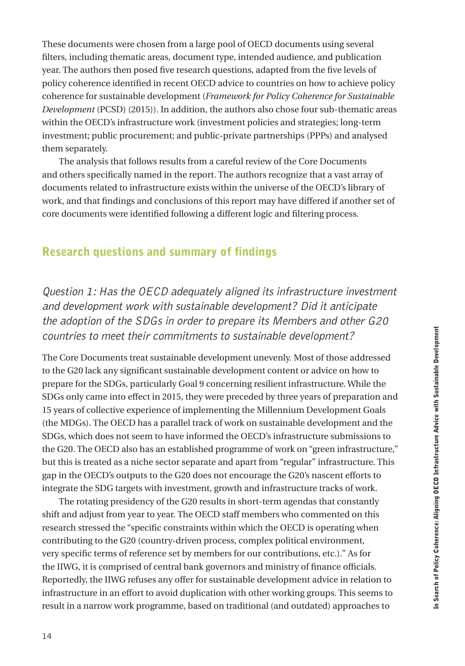These documents were chosen from a large pool of OECD documents using several filters, including thematic areas, document type, intended audience, and publication year. The authors then posed five research questions, adapted from the five levels of policy coherence identified in recent OECD advice to countries on how to achieve policy coherence for sustainable development (*Framework for Policy Coherence for Sustainable Development* (PCSD) (2015)). In addition, the authors also chose four sub-thematic areas within the OECD's infrastructure work (investment policies and strategies; long-term investment; public procurement; and public-private partnerships (PPPs) and analysed them separately.

The analysis that follows results from a careful review of the Core Documents and others specifically named in the report. The authors recognize that a vast array of documents related to infrastructure exists within the universe of the OECD's library of work, and that findings and conclusions of this report may have differed if another set of core documents were identified following a different logic and filtering process.

### Research questions and summary of findings

Question 1: Has the OECD adequately aligned its infrastructure investment and development work with sustainable development? Did it anticipate the adoption of the SDGs in order to prepare its Members and other G20 countries to meet their commitments to sustainable development?

The Core Documents treat sustainable development unevenly. Most of those addressed to the G20 lack any significant sustainable development content or advice on how to prepare for the SDGs, particularly Goal 9 concerning resilient infrastructure. While the SDGs only came into effect in 2015, they were preceded by three years of preparation and 15 years of collective experience of implementing the Millennium Development Goals (the MDGs). The OECD has a parallel track of work on sustainable development and the SDGs, which does not seem to have informed the OECD's infrastructure submissions to the G20. The OECD also has an established programme of work on "green infrastructure," but this is treated as a niche sector separate and apart from "regular" infrastructure. This gap in the OECD's outputs to the G20 does not encourage the G20's nascent efforts to integrate the SDG targets with investment, growth and infrastructure tracks of work.

The rotating presidency of the G20 results in short-term agendas that constantly shift and adjust from year to year. The OECD staff members who commented on this research stressed the "specific constraints within which the OECD is operating when contributing to the G20 (country-driven process, complex political environment, very specific terms of reference set by members for our contributions, etc.)." As for the IIWG, it is comprised of central bank governors and ministry of finance officials. Reportedly, the IIWG refuses any offer for sustainable development advice in relation to infrastructure in an effort to avoid duplication with other working groups. This seems to result in a narrow work programme, based on traditional (and outdated) approaches to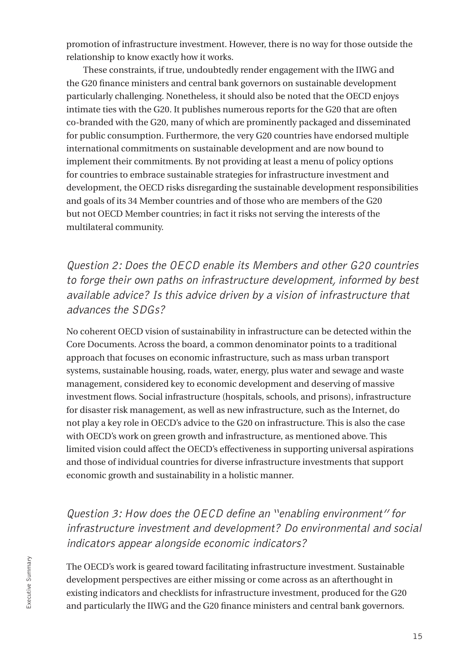promotion of infrastructure investment. However, there is no way for those outside the relationship to know exactly how it works.

These constraints, if true, undoubtedly render engagement with the IIWG and the G20 finance ministers and central bank governors on sustainable development particularly challenging. Nonetheless, it should also be noted that the OECD enjoys intimate ties with the G20. It publishes numerous reports for the G20 that are often co-branded with the G20, many of which are prominently packaged and disseminated for public consumption. Furthermore, the very G20 countries have endorsed multiple international commitments on sustainable development and are now bound to implement their commitments. By not providing at least a menu of policy options for countries to embrace sustainable strategies for infrastructure investment and development, the OECD risks disregarding the sustainable development responsibilities and goals of its 34 Member countries and of those who are members of the G20 but not OECD Member countries; in fact it risks not serving the interests of the multilateral community.

Question 2: Does the OECD enable its Members and other G20 countries to forge their own paths on infrastructure development, informed by best available advice? Is this advice driven by a vision of infrastructure that advances the SDGs?

No coherent OECD vision of sustainability in infrastructure can be detected within the Core Documents. Across the board, a common denominator points to a traditional approach that focuses on economic infrastructure, such as mass urban transport systems, sustainable housing, roads, water, energy, plus water and sewage and waste management, considered key to economic development and deserving of massive investment flows. Social infrastructure (hospitals, schools, and prisons), infrastructure for disaster risk management, as well as new infrastructure, such as the Internet, do not play a key role in OECD's advice to the G20 on infrastructure. This is also the case with OECD's work on green growth and infrastructure, as mentioned above. This limited vision could affect the OECD's effectiveness in supporting universal aspirations and those of individual countries for diverse infrastructure investments that support economic growth and sustainability in a holistic manner.

## Question 3: How does the OECD define an "enabling environment" for infrastructure investment and development? Do environmental and social indicators appear alongside economic indicators?

The OECD's work is geared toward facilitating infrastructure investment. Sustainable development perspectives are either missing or come across as an afterthought in existing indicators and checklists for infrastructure investment, produced for the G20 and particularly the IIWG and the G20 finance ministers and central bank governors.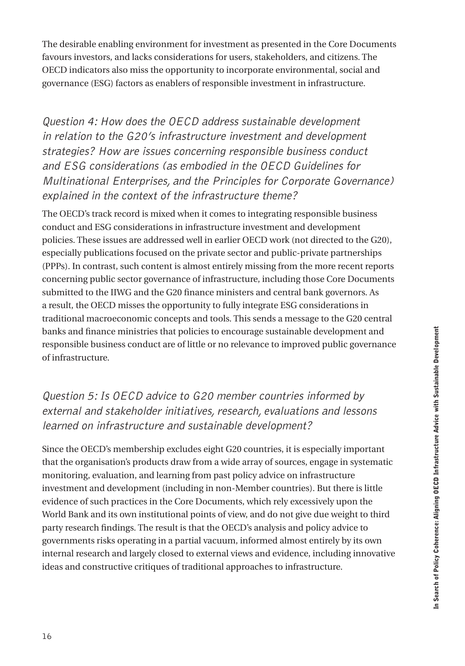The desirable enabling environment for investment as presented in the Core Documents favours investors, and lacks considerations for users, stakeholders, and citizens. The OECD indicators also miss the opportunity to incorporate environmental, social and governance (ESG) factors as enablers of responsible investment in infrastructure.

Question 4: How does the OECD address sustainable development in relation to the G20's infrastructure investment and development strategies? How are issues concerning responsible business conduct and ESG considerations (as embodied in the OECD Guidelines for Multinational Enterprises, and the Principles for Corporate Governance) explained in the context of the infrastructure theme?

The OECD's track record is mixed when it comes to integrating responsible business conduct and ESG considerations in infrastructure investment and development policies. These issues are addressed well in earlier OECD work (not directed to the G20), especially publications focused on the private sector and public-private partnerships (PPPs). In contrast, such content is almost entirely missing from the more recent reports concerning public sector governance of infrastructure, including those Core Documents submitted to the IIWG and the G20 finance ministers and central bank governors. As a result, the OECD misses the opportunity to fully integrate ESG considerations in traditional macroeconomic concepts and tools. This sends a message to the G20 central banks and finance ministries that policies to encourage sustainable development and responsible business conduct are of little or no relevance to improved public governance of infrastructure.

## Question 5: Is OECD advice to G20 member countries informed by external and stakeholder initiatives, research, evaluations and lessons learned on infrastructure and sustainable development?

Since the OECD's membership excludes eight G20 countries, it is especially important that the organisation's products draw from a wide array of sources, engage in systematic monitoring, evaluation, and learning from past policy advice on infrastructure investment and development (including in non-Member countries). But there is little evidence of such practices in the Core Documents, which rely excessively upon the World Bank and its own institutional points of view, and do not give due weight to third party research findings. The result is that the OECD's analysis and policy advice to governments risks operating in a partial vacuum, informed almost entirely by its own internal research and largely closed to external views and evidence, including innovative ideas and constructive critiques of traditional approaches to infrastructure.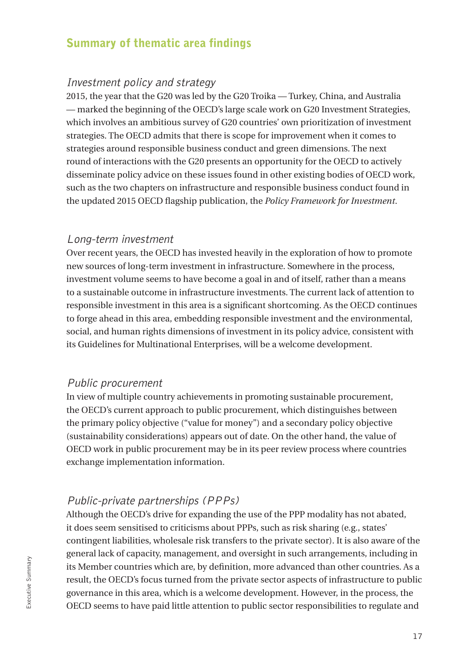#### Summary of thematic area findings

#### Investment policy and strategy

2015, the year that the G20 was led by the G20 Troika — Turkey, China, and Australia — marked the beginning of the OECD's large scale work on G20 Investment Strategies, which involves an ambitious survey of G20 countries' own prioritization of investment strategies. The OECD admits that there is scope for improvement when it comes to strategies around responsible business conduct and green dimensions. The next round of interactions with the G20 presents an opportunity for the OECD to actively disseminate policy advice on these issues found in other existing bodies of OECD work, such as the two chapters on infrastructure and responsible business conduct found in the updated 2015 OECD flagship publication, the *Policy Framework for Investment*.

#### Long-term investment

Over recent years, the OECD has invested heavily in the exploration of how to promote new sources of long-term investment in infrastructure. Somewhere in the process, investment volume seems to have become a goal in and of itself, rather than a means to a sustainable outcome in infrastructure investments. The current lack of attention to responsible investment in this area is a significant shortcoming. As the OECD continues to forge ahead in this area, embedding responsible investment and the environmental, social, and human rights dimensions of investment in its policy advice, consistent with its Guidelines for Multinational Enterprises, will be a welcome development.

#### Public procurement

In view of multiple country achievements in promoting sustainable procurement, the OECD's current approach to public procurement, which distinguishes between the primary policy objective ("value for money") and a secondary policy objective (sustainability considerations) appears out of date. On the other hand, the value of OECD work in public procurement may be in its peer review process where countries exchange implementation information.

#### Public-private partnerships (PPPs)

Although the OECD's drive for expanding the use of the PPP modality has not abated, it does seem sensitised to criticisms about PPPs, such as risk sharing (e.g., states' contingent liabilities, wholesale risk transfers to the private sector). It is also aware of the general lack of capacity, management, and oversight in such arrangements, including in its Member countries which are, by definition, more advanced than other countries. As a result, the OECD's focus turned from the private sector aspects of infrastructure to public governance in this area, which is a welcome development. However, in the process, the OECD seems to have paid little attention to public sector responsibilities to regulate and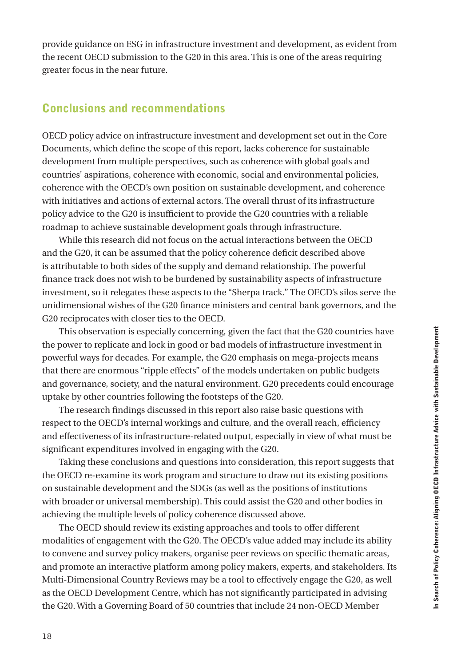provide guidance on ESG in infrastructure investment and development, as evident from the recent OECD submission to the G20 in this area. This is one of the areas requiring greater focus in the near future.

### Conclusions and recommendations

OECD policy advice on infrastructure investment and development set out in the Core Documents, which define the scope of this report, lacks coherence for sustainable development from multiple perspectives, such as coherence with global goals and countries' aspirations, coherence with economic, social and environmental policies, coherence with the OECD's own position on sustainable development, and coherence with initiatives and actions of external actors. The overall thrust of its infrastructure policy advice to the G20 is insufficient to provide the G20 countries with a reliable roadmap to achieve sustainable development goals through infrastructure.

While this research did not focus on the actual interactions between the OECD and the G20, it can be assumed that the policy coherence deficit described above is attributable to both sides of the supply and demand relationship. The powerful finance track does not wish to be burdened by sustainability aspects of infrastructure investment, so it relegates these aspects to the "Sherpa track." The OECD's silos serve the unidimensional wishes of the G20 finance ministers and central bank governors, and the G20 reciprocates with closer ties to the OECD.

This observation is especially concerning, given the fact that the G20 countries have the power to replicate and lock in good or bad models of infrastructure investment in powerful ways for decades. For example, the G20 emphasis on mega-projects means that there are enormous "ripple effects" of the models undertaken on public budgets and governance, society, and the natural environment. G20 precedents could encourage uptake by other countries following the footsteps of the G20.

The research findings discussed in this report also raise basic questions with respect to the OECD's internal workings and culture, and the overall reach, efficiency and effectiveness of its infrastructure-related output, especially in view of what must be significant expenditures involved in engaging with the G20.

Taking these conclusions and questions into consideration, this report suggests that the OECD re-examine its work program and structure to draw out its existing positions on sustainable development and the SDGs (as well as the positions of institutions with broader or universal membership). This could assist the G20 and other bodies in achieving the multiple levels of policy coherence discussed above.

The OECD should review its existing approaches and tools to offer different modalities of engagement with the G20. The OECD's value added may include its ability to convene and survey policy makers, organise peer reviews on specific thematic areas, and promote an interactive platform among policy makers, experts, and stakeholders. Its Multi-Dimensional Country Reviews may be a tool to effectively engage the G20, as well as the OECD Development Centre, which has not significantly participated in advising the G20. With a Governing Board of 50 countries that include 24 non-OECD Member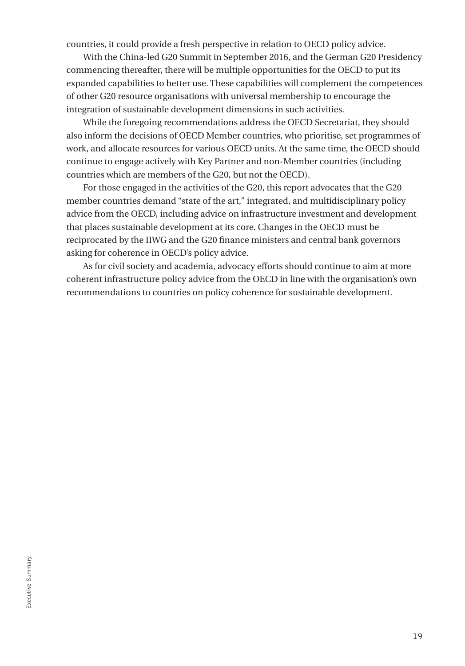countries, it could provide a fresh perspective in relation to OECD policy advice.

With the China-led G20 Summit in September 2016, and the German G20 Presidency commencing thereafter, there will be multiple opportunities for the OECD to put its expanded capabilities to better use. These capabilities will complement the competences of other G20 resource organisations with universal membership to encourage the integration of sustainable development dimensions in such activities.

While the foregoing recommendations address the OECD Secretariat, they should also inform the decisions of OECD Member countries, who prioritise, set programmes of work, and allocate resources for various OECD units. At the same time, the OECD should continue to engage actively with Key Partner and non-Member countries (including countries which are members of the G20, but not the OECD).

For those engaged in the activities of the G20, this report advocates that the G20 member countries demand "state of the art," integrated, and multidisciplinary policy advice from the OECD, including advice on infrastructure investment and development that places sustainable development at its core. Changes in the OECD must be reciprocated by the IIWG and the G20 finance ministers and central bank governors asking for coherence in OECD's policy advice.

As for civil society and academia, advocacy efforts should continue to aim at more coherent infrastructure policy advice from the OECD in line with the organisation's own recommendations to countries on policy coherence for sustainable development.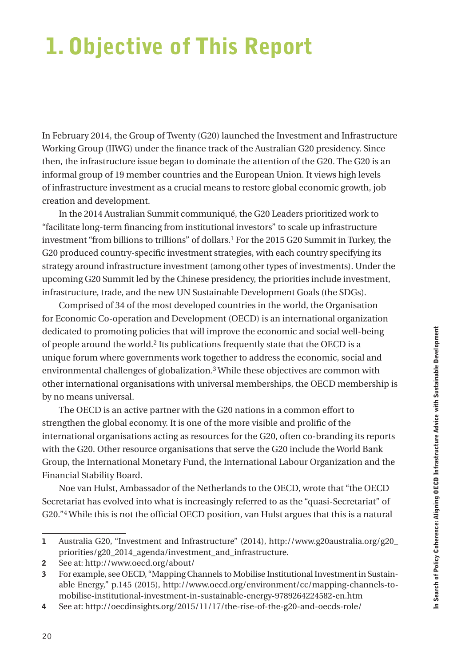# <span id="page-21-0"></span>1. Objective of This Report

In February 2014, the Group of Twenty (G20) launched the Investment and Infrastructure Working Group (IIWG) under the finance track of the Australian G20 presidency. Since then, the infrastructure issue began to dominate the attention of the G20. The G20 is an informal group of 19 member countries and the European Union. It views high levels of infrastructure investment as a crucial means to restore global economic growth, job creation and development.

In the 2014 Australian Summit communiqué, the G20 Leaders prioritized work to "facilitate long-term financing from institutional investors" to scale up infrastructure investment "from billions to trillions" of dollars.1 For the 2015 G20 Summit in Turkey, the G20 produced country-specific investment strategies, with each country specifying its strategy around infrastructure investment (among other types of investments). Under the upcoming G20 Summit led by the Chinese presidency, the priorities include investment, infrastructure, trade, and the new UN Sustainable Development Goals (the SDGs).

Comprised of 34 of the most developed countries in the world, the Organisation for Economic Co-operation and Development (OECD) is an international organization dedicated to promoting policies that will improve the economic and social well-being of people around the world.2 Its publications frequently state that the OECD is a unique forum where governments work together to address the economic, social and environmental challenges of globalization.3 While these objectives are common with other international organisations with universal memberships, the OECD membership is by no means universal.

The OECD is an active partner with the G20 nations in a common effort to strengthen the global economy. It is one of the more visible and prolific of the international organisations acting as resources for the G20, often co-branding its reports with the G20. Other resource organisations that serve the G20 include the World Bank Group, the International Monetary Fund, the International Labour Organization and the Financial Stability Board.

Noe van Hulst, Ambassador of the Netherlands to the OECD, wrote that "the OECD Secretariat has evolved into what is increasingly referred to as the "quasi-Secretariat" of G20."4 While this is not the official OECD position, van Hulst argues that this is a natural

<sup>1</sup> Australia G20, "Investment and Infrastructure" (2014), h[ttp://www.g20australia.org/g20\\_](http://www.g20australia.org/g20_priorities/g20_2014_agenda/investment_and_infrastructure) [priorities/g20\\_2014\\_agenda/investment\\_and\\_infrastructure.](http://www.g20australia.org/g20_priorities/g20_2014_agenda/investment_and_infrastructure)

<sup>2</sup> See at: <http://www.oecd.org/about/>

<sup>3</sup> For example, see OECD, "Mapping Channels to Mobilise Institutional Investment in Sustainable Energy," p.145 (2015), [http://www.oecd.org/environment/cc/mapping-channels-to](http://www.oecd.org/environment/cc/mapping-channels-to-mobilise-institutional-investment-in-sustainable-energy-9789264224582-en.htm)[mobilise-institutional-investment-in-sustainable-energy-9789264224582-en.htm](http://www.oecd.org/environment/cc/mapping-channels-to-mobilise-institutional-investment-in-sustainable-energy-9789264224582-en.htm)

<sup>4</sup> See at: <http://oecdinsights.org/2015/11/17/the-rise-of-the-g20-and-oecds-role/>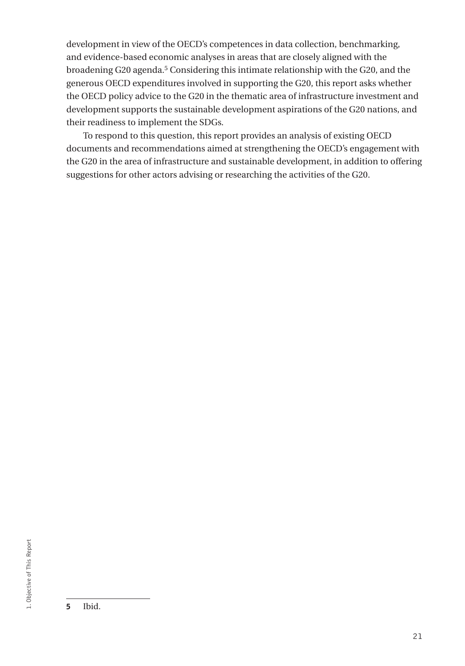development in view of the OECD's competences in data collection, benchmarking, and evidence-based economic analyses in areas that are closely aligned with the broadening G20 agenda.5 Considering this intimate relationship with the G20, and the generous OECD expenditures involved in supporting the G20, this report asks whether the OECD policy advice to the G20 in the thematic area of infrastructure investment and development supports the sustainable development aspirations of the G20 nations, and their readiness to implement the SDGs.

To respond to this question, this report provides an analysis of existing OECD documents and recommendations aimed at strengthening the OECD's engagement with the G20 in the area of infrastructure and sustainable development, in addition to offering suggestions for other actors advising or researching the activities of the G20.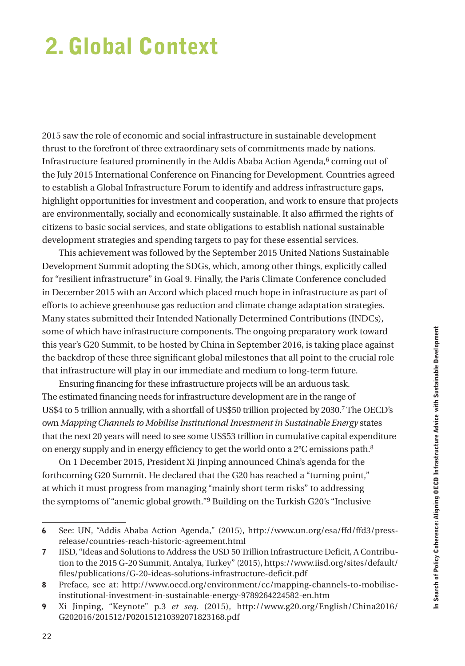# <span id="page-23-0"></span>2. Global Context

2015 saw the role of economic and social infrastructure in sustainable development thrust to the forefront of three extraordinary sets of commitments made by nations. Infrastructure featured prominently in the Addis Ababa Action Agenda,<sup>6</sup> coming out of the July 2015 International Conference on Financing for Development. Countries agreed to establish a Global Infrastructure Forum to identify and address infrastructure gaps, highlight opportunities for investment and cooperation, and work to ensure that projects are environmentally, socially and economically sustainable. It also affirmed the rights of citizens to basic social services, and state obligations to establish national sustainable development strategies and spending targets to pay for these essential services.

This achievement was followed by the September 2015 United Nations Sustainable Development Summit adopting the SDGs, which, among other things, explicitly called for "resilient infrastructure" in Goal 9. Finally, the Paris Climate Conference concluded in December 2015 with an Accord which placed much hope in infrastructure as part of efforts to achieve greenhouse gas reduction and climate change adaptation strategies. Many states submitted their Intended Nationally Determined Contributions (INDCs), some of which have infrastructure components. The ongoing preparatory work toward this year's G20 Summit, to be hosted by China in September 2016, is taking place against the backdrop of these three significant global milestones that all point to the crucial role that infrastructure will play in our immediate and medium to long-term future.

Ensuring financing for these infrastructure projects will be an arduous task. The estimated financing needs for infrastructure development are in the range of US\$4 to 5 trillion annually, with a shortfall of US\$50 trillion projected by 2030.7 The OECD's own *Mapping Channels to Mobilise Institutional Investment in Sustainable Energy* states that the next 20 years will need to see some US\$53 trillion in cumulative capital expenditure on energy supply and in energy efficiency to get the world onto a 2°C emissions path.8

On 1 December 2015, President Xi Jinping announced China's agenda for the forthcoming G20 Summit. He declared that the G20 has reached a "turning point," at which it must progress from managing "mainly short term risks" to addressing the symptoms of "anemic global growth."9 Building on the Turkish G20's "Inclusive

<sup>6</sup> See: UN, "Addis Ababa Action Agenda," (2015), http://www.un.org/esa/ffd/ffd3/pressrelease/countries-reach-historic-agreement.html

<sup>7</sup> IISD, "Ideas and Solutions to Address the USD 50 Trillion Infrastructure Deficit, A Contribution to the 2015 G-20 Summit, Antalya, Turkey" (2015), h[ttps://www.iisd.org/sites/default/](https://www.iisd.org/sites/default/files/publications/G-20-ideas-solutions-infrastructure-deficit.pdf) [files/publications/G-20-ideas-solutions-infrastructure-deficit.pdf](https://www.iisd.org/sites/default/files/publications/G-20-ideas-solutions-infrastructure-deficit.pdf)

<sup>8</sup> Preface, see at: h[ttp://www.oecd.org/environment/cc/mapping-channels-to-mobilise](http://www.oecd.org/environment/cc/mapping-channels-to-mobilise-institutional-investment-in-sustainable-energy-9789264224582-en.htm)[institutional-investment-in-sustainable-energy-9789264224582-en.htm](http://www.oecd.org/environment/cc/mapping-channels-to-mobilise-institutional-investment-in-sustainable-energy-9789264224582-en.htm)

<sup>9</sup> Xi Jinping, "Keynote" p.3 *et seq.* (2015), [http://www.g20.org/English/China2016/](http://www.g20.org/English/China2016/G202016/201512/P020151210392071823168.pdf) [G202016/201512/P020151210392071823168.pdf](http://www.g20.org/English/China2016/G202016/201512/P020151210392071823168.pdf)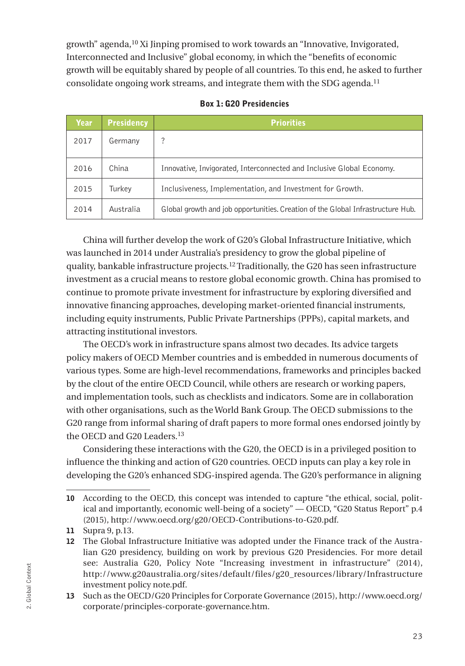<span id="page-24-0"></span>growth" agenda,10 Xi Jinping promised to work towards an "Innovative, Invigorated, Interconnected and Inclusive" global economy, in which the "benefits of economic growth will be equitably shared by people of all countries. To this end, he asked to further consolidate ongoing work streams, and integrate them with the SDG agenda.11

| Year. | <b>Presidency</b> | <b>Priorities</b>                                                               |
|-------|-------------------|---------------------------------------------------------------------------------|
| 2017  | Germany           | ?                                                                               |
| 2016  | China             | Innovative, Invigorated, Interconnected and Inclusive Global Economy.           |
| 2015  | Turkev            | Inclusiveness, Implementation, and Investment for Growth.                       |
| 2014  | Australia         | Global growth and job opportunities. Creation of the Global Infrastructure Hub. |

Box 1: G20 Presidencies

China will further develop the work of G20's Global Infrastructure Initiative, which was launched in 2014 under Australia's presidency to grow the global pipeline of quality, bankable infrastructure projects.12 Traditionally, the G20 has seen infrastructure investment as a crucial means to restore global economic growth. China has promised to continue to promote private investment for infrastructure by exploring diversified and innovative financing approaches, developing market-oriented financial instruments, including equity instruments, Public Private Partnerships (PPPs), capital markets, and attracting institutional investors.

The OECD's work in infrastructure spans almost two decades. Its advice targets policy makers of OECD Member countries and is embedded in numerous documents of various types. Some are high-level recommendations, frameworks and principles backed by the clout of the entire OECD Council, while others are research or working papers, and implementation tools, such as checklists and indicators. Some are in collaboration with other organisations, such as the World Bank Group. The OECD submissions to the G20 range from informal sharing of draft papers to more formal ones endorsed jointly by the OECD and G20 Leaders.<sup>13</sup>

Considering these interactions with the G20, the OECD is in a privileged position to influence the thinking and action of G20 countries. OECD inputs can play a key role in developing the G20's enhanced SDG-inspired agenda. The G20's performance in aligning

<sup>10</sup> According to the OECD, this concept was intended to capture "the ethical, social, political and importantly, economic well-being of a society" — OECD, "G20 Status Report" p.4 (2015), [http://www.oecd.org/g20/OECD-Contributions-to-G20.pdf.](http://www.oecd.org/g20/OECD-Contributions-to-G20.pdf)

<sup>11</sup> Supra 9, p.13.

<sup>12</sup> The Global Infrastructure Initiative was adopted under the Finance track of the Australian G20 presidency, building on work by previous G20 Presidencies. For more detail see: Australia G20, Policy Note "Increasing investment in infrastructure" (2014), h[ttp://www.g20australia.org/sites/default/files/g20\\_resources/library/Infrastructure](http://www.g20australia.org/sites/default/files/g20_resources/library/Infrastructure%2520investment%2520policy%2520note.pdf)  [investment policy note.pdf](http://www.g20australia.org/sites/default/files/g20_resources/library/Infrastructure%2520investment%2520policy%2520note.pdf).

<sup>13</sup> Such as the OECD/G20 Principles for Corporate Governance (2015), [http://www.oecd.org/](http://www.oecd.org/corporate/principles-corporate-governance.htm) [corporate/principles-corporate-governance.htm.](http://www.oecd.org/corporate/principles-corporate-governance.htm)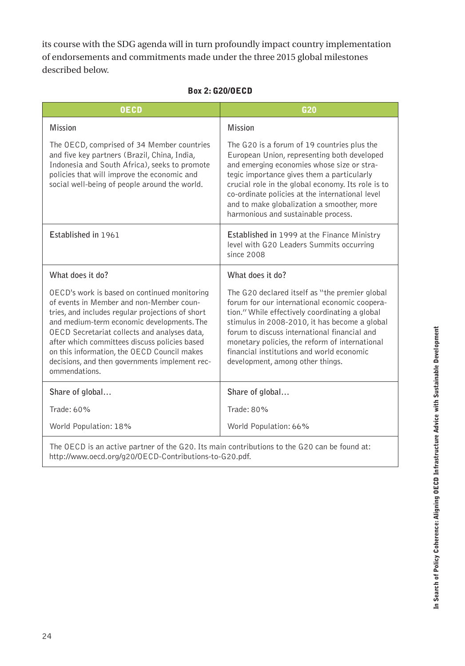<span id="page-25-0"></span>its course with the SDG agenda will in turn profoundly impact country implementation of endorsements and commitments made under the three 2015 global milestones described below.

#### Box 2: G20/OECD

| <b>OECD</b>                                                                                                                                                                                                                                                                                                                                                                                                   | G <sub>20</sub>                                                                                                                                                                                                                                                                                                                                                                       |  |
|---------------------------------------------------------------------------------------------------------------------------------------------------------------------------------------------------------------------------------------------------------------------------------------------------------------------------------------------------------------------------------------------------------------|---------------------------------------------------------------------------------------------------------------------------------------------------------------------------------------------------------------------------------------------------------------------------------------------------------------------------------------------------------------------------------------|--|
| <b>Mission</b>                                                                                                                                                                                                                                                                                                                                                                                                | <b>Mission</b>                                                                                                                                                                                                                                                                                                                                                                        |  |
| The OECD, comprised of 34 Member countries<br>and five key partners (Brazil, China, India,<br>Indonesia and South Africa), seeks to promote<br>policies that will improve the economic and<br>social well-being of people around the world.                                                                                                                                                                   | The G20 is a forum of 19 countries plus the<br>European Union, representing both developed<br>and emerging economies whose size or stra-<br>tegic importance gives them a particularly<br>crucial role in the global economy. Its role is to<br>co-ordinate policies at the international level<br>and to make globalization a smoother, more<br>harmonious and sustainable process.  |  |
| Established in 1961                                                                                                                                                                                                                                                                                                                                                                                           | <b>Established in 1999 at the Finance Ministry</b><br>level with G20 Leaders Summits occurring<br>since 2008                                                                                                                                                                                                                                                                          |  |
| What does it do?                                                                                                                                                                                                                                                                                                                                                                                              | What does it do?                                                                                                                                                                                                                                                                                                                                                                      |  |
| OECD's work is based on continued monitoring<br>of events in Member and non-Member coun-<br>tries, and includes regular projections of short<br>and medium-term economic developments. The<br>OECD Secretariat collects and analyses data,<br>after which committees discuss policies based<br>on this information, the OECD Council makes<br>decisions, and then governments implement rec-<br>ommendations. | The G20 declared itself as "the premier global<br>forum for our international economic coopera-<br>tion." While effectively coordinating a global<br>stimulus in 2008-2010, it has become a global<br>forum to discuss international financial and<br>monetary policies, the reform of international<br>financial institutions and world economic<br>development, among other things. |  |
| Share of global                                                                                                                                                                                                                                                                                                                                                                                               | Share of global                                                                                                                                                                                                                                                                                                                                                                       |  |
| Trade: 60%                                                                                                                                                                                                                                                                                                                                                                                                    | Trade: 80%                                                                                                                                                                                                                                                                                                                                                                            |  |
| World Population: 18%                                                                                                                                                                                                                                                                                                                                                                                         | World Population: 66%                                                                                                                                                                                                                                                                                                                                                                 |  |
| The OECD is an active partner of the G20. Its main contributions to the G20 can be found at:                                                                                                                                                                                                                                                                                                                  |                                                                                                                                                                                                                                                                                                                                                                                       |  |

[http://www.oecd.org/g20/OECD-Contributions-to-G20.pdf.](http://www.oecd.org/g20/OECD-Contributions-to-G20.pdf)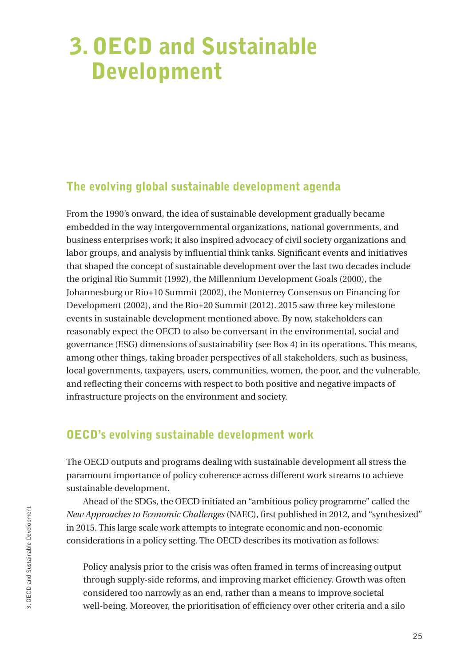## <span id="page-26-0"></span>3. OECD and Sustainable Development

### The evolving global sustainable development agenda

From the 1990's onward, the idea of sustainable development gradually became embedded in the way intergovernmental organizations, national governments, and business enterprises work; it also inspired advocacy of civil society organizations and labor groups, and analysis by influential think tanks. Significant events and initiatives that shaped the concept of sustainable development over the last two decades include the original Rio Summit (1992), the Millennium Development Goals (2000), the Johannesburg or Rio+10 Summit (2002), the Monterrey Consensus on Financing for Development (2002), and the Rio+20 Summit (2012). 2015 saw three key milestone events in sustainable development mentioned above. By now, stakeholders can reasonably expect the OECD to also be conversant in the environmental, social and governance (ESG) dimensions of sustainability (see Box 4) in its operations. This means, among other things, taking broader perspectives of all stakeholders, such as business, local governments, taxpayers, users, communities, women, the poor, and the vulnerable, and reflecting their concerns with respect to both positive and negative impacts of infrastructure projects on the environment and society.

## OECD's evolving sustainable development work

The OECD outputs and programs dealing with sustainable development all stress the paramount importance of policy coherence across different work streams to achieve sustainable development.

Ahead of the SDGs, the OECD initiated an "ambitious policy programme" called the *New Approaches to Economic Challenges* (NAEC), first published in 2012, and "synthesized" in 2015. This large scale work attempts to integrate economic and non-economic considerations in a policy setting. The OECD describes its motivation as follows:

Policy analysis prior to the crisis was often framed in terms of increasing output through supply-side reforms, and improving market efficiency. Growth was often considered too narrowly as an end, rather than a means to improve societal well-being. Moreover, the prioritisation of efficiency over other criteria and a silo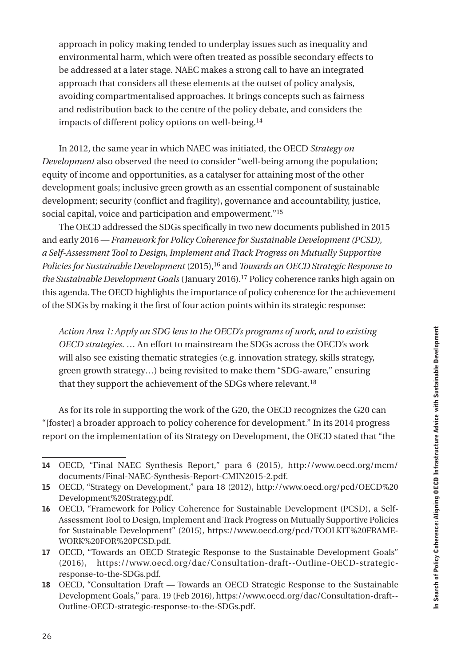approach in policy making tended to underplay issues such as inequality and environmental harm, which were often treated as possible secondary effects to be addressed at a later stage. NAEC makes a strong call to have an integrated approach that considers all these elements at the outset of policy analysis, avoiding compartmentalised approaches. It brings concepts such as fairness and redistribution back to the centre of the policy debate, and considers the impacts of different policy options on well-being.<sup>14</sup>

In 2012, the same year in which NAEC was initiated, the OECD *Strategy on Development* also observed the need to consider "well-being among the population; equity of income and opportunities, as a catalyser for attaining most of the other development goals; inclusive green growth as an essential component of sustainable development; security (conflict and fragility), governance and accountability, justice, social capital, voice and participation and empowerment."15

The OECD addressed the SDGs specifically in two new documents published in 2015 and early 2016 — *Framework for Policy Coherence for Sustainable Development (PCSD), a Self-Assessment Tool to Design, Implement and Track Progress on Mutually Supportive Policies for Sustainable Development* (2015),16 and *Towards an OECD Strategic Response to the Sustainable Development Goals* (January 2016).17 Policy coherence ranks high again on this agenda. The OECD highlights the importance of policy coherence for the achievement of the SDGs by making it the first of four action points within its strategic response:

*Action Area 1: Apply an SDG lens to the OECD's programs of work, and to existing OECD strategies*. … An effort to mainstream the SDGs across the OECD's work will also see existing thematic strategies (e.g. innovation strategy, skills strategy, green growth strategy…) being revisited to make them "SDG-aware," ensuring that they support the achievement of the SDGs where relevant.<sup>18</sup>

As for its role in supporting the work of the G20, the OECD recognizes the G20 can "[foster] a broader approach to policy coherence for development." In its 2014 progress report on the implementation of its Strategy on Development, the OECD stated that "the

<sup>14</sup> OECD, "Final NAEC Synthesis Report," para 6 (2015), h[ttp://www.oecd.org/mcm/](http://www.oecd.org/mcm/documents/Final-NAEC-Synthesis-Report-CMIN2015-2.pdf) [documents/Final-NAEC-Synthesis-Report-CMIN2015-2.pdf](http://www.oecd.org/mcm/documents/Final-NAEC-Synthesis-Report-CMIN2015-2.pdf).

<sup>15</sup> OECD, "Strategy on Development," para 18 (2012), h[ttp://www.oecd.org/pcd/OECD%20](http://www.oecd.org/pcd/OECD%2520Development%2520Strategy.pdf) [Development%20Strategy.pdf](http://www.oecd.org/pcd/OECD%2520Development%2520Strategy.pdf).

<sup>16</sup> OECD, "Framework for Policy Coherence for Sustainable Development (PCSD), a Self-Assessment Tool to Design, Implement and Track Progress on Mutually Supportive Policies for Sustainable Development" (2015), [https://www.oecd.org/pcd/TOOLKIT%20FRAME-](https://www.oecd.org/pcd/TOOLKIT%2520FRAMEWORK%2520FOR%2520PCSD.pdf)[WORK%20FOR%20PCSD.pdf.](https://www.oecd.org/pcd/TOOLKIT%2520FRAMEWORK%2520FOR%2520PCSD.pdf)

<sup>17</sup> OECD, "Towards an OECD Strategic Response to the Sustainable Development Goals" (2016), h[ttps://www.oecd.org/dac/Consultation-draft--Outline-OECD-strategic](https://www.oecd.org/dac/Consultation-draft--Outline-OECD-strategic-response-to-the-SDGs.pdf)[response-to-the-SDGs.pdf.](https://www.oecd.org/dac/Consultation-draft--Outline-OECD-strategic-response-to-the-SDGs.pdf)

<sup>18</sup> OECD, "Consultation Draft — Towards an OECD Strategic Response to the Sustainable Development Goals," para. 19 (Feb 2016), [https://www.oecd.org/dac/Consultation-draft--](https://www.oecd.org/dac/Consultation-draft--Outline-OECD-strategic-response-to-the-SDGs.pdf) [Outline-OECD-strategic-response-to-the-SDGs.pdf](https://www.oecd.org/dac/Consultation-draft--Outline-OECD-strategic-response-to-the-SDGs.pdf).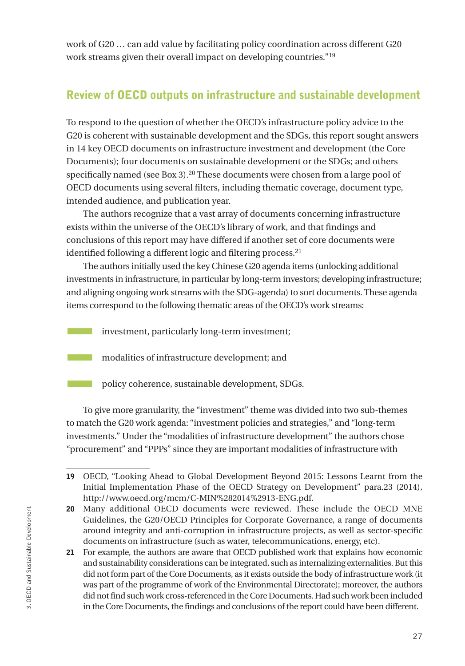<span id="page-28-0"></span>work of G20 … can add value by facilitating policy coordination across different G20 work streams given their overall impact on developing countries."19

## Review of OECD outputs on infrastructure and sustainable development

To respond to the question of whether the OECD's infrastructure policy advice to the G20 is coherent with sustainable development and the SDGs, this report sought answers in 14 key OECD documents on infrastructure investment and development (the Core Documents); four documents on sustainable development or the SDGs; and others specifically named (see Box 3).20 These documents were chosen from a large pool of OECD documents using several filters, including thematic coverage, document type, intended audience, and publication year.

The authors recognize that a vast array of documents concerning infrastructure exists within the universe of the OECD's library of work, and that findings and conclusions of this report may have differed if another set of core documents were identified following a different logic and filtering process.<sup>21</sup>

The authors initially used the key Chinese G20 agenda items (unlocking additional investments in infrastructure, in particular by long-term investors; developing infrastructure; and aligning ongoing work streams with the SDG-agenda) to sort documents. These agenda items correspond to the following thematic areas of the OECD's work streams:

**Example 1** investment, particularly long-term investment;

**EXECUTE:** modalities of infrastructure development; and

policy coherence, sustainable development, SDGs.

To give more granularity, the "investment" theme was divided into two sub-themes to match the G20 work agenda: "investment policies and strategies," and "long-term investments." Under the "modalities of infrastructure development" the authors chose "procurement" and "PPPs" since they are important modalities of infrastructure with

<sup>19</sup> OECD, "Looking Ahead to Global Development Beyond 2015: Lessons Learnt from the Initial Implementation Phase of the OECD Strategy on Development" para.23 (2014), [http://www.oecd.org/mcm/C-MIN%282014%2913-ENG.pdf](http://www.oecd.org/mcm/C-MIN%25282014%252913-ENG.pdf).

<sup>20</sup> Many additional OECD documents were reviewed. These include the OECD MNE Guidelines, the G20/OECD Principles for Corporate Governance, a range of documents around integrity and anti-corruption in infrastructure projects, as well as sector-specific documents on infrastructure (such as water, telecommunications, energy, etc).

<sup>21</sup> For example, the authors are aware that OECD published work that explains how economic and sustainability considerations can be integrated, such as internalizing externalities. But this did not form part of the Core Documents, as it exists outside the body of infrastructure work (it was part of the programme of work of the Environmental Directorate); moreover, the authors did not find such work cross-referenced in the Core Documents. Had such work been included in the Core Documents, the findings and conclusions of the report could have been different.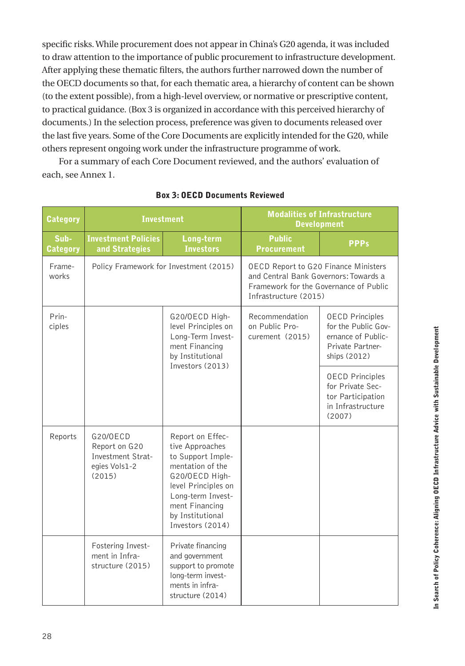<span id="page-29-0"></span>specific risks. While procurement does not appear in China's G20 agenda, it was included to draw attention to the importance of public procurement to infrastructure development. After applying these thematic filters, the authors further narrowed down the number of the OECD documents so that, for each thematic area, a hierarchy of content can be shown (to the extent possible), from a high-level overview, or normative or prescriptive content, to practical guidance. (Box 3 is organized in accordance with this perceived hierarchy of documents.) In the selection process, preference was given to documents released over the last five years. Some of the Core Documents are explicitly intended for the G20, while others represent ongoing work under the infrastructure programme of work.

For a summary of each Core Document reviewed, and the authors' evaluation of each, see Annex 1.

| <b>Category</b>  | <b>Investment</b>                                                         |                                                                                                                                                                                                      | <b>Modalities of Infrastructure</b><br><b>Development</b>                                                                                               |                                                                                                         |
|------------------|---------------------------------------------------------------------------|------------------------------------------------------------------------------------------------------------------------------------------------------------------------------------------------------|---------------------------------------------------------------------------------------------------------------------------------------------------------|---------------------------------------------------------------------------------------------------------|
| Sub-<br>Category | <b>Investment Policies</b><br>and Strategies                              | Long-term<br><b>Investors</b>                                                                                                                                                                        | <b>Public</b><br><b>Procurement</b>                                                                                                                     | <b>PPPs</b>                                                                                             |
| Frame-<br>works  | Policy Framework for Investment (2015)                                    |                                                                                                                                                                                                      | <b>OECD Report to G20 Finance Ministers</b><br>and Central Bank Governors: Towards a<br>Framework for the Governance of Public<br>Infrastructure (2015) |                                                                                                         |
| Prin-<br>ciples  |                                                                           | G20/OECD High-<br>level Principles on<br>Long-Term Invest-<br>ment Financing<br>by Institutional                                                                                                     | Recommendation<br>on Public Pro-<br>curement (2015)                                                                                                     | <b>OECD Principles</b><br>for the Public Gov-<br>ernance of Public-<br>Private Partner-<br>ships (2012) |
|                  | Investors (2013)                                                          |                                                                                                                                                                                                      |                                                                                                                                                         | <b>OECD Principles</b><br>for Private Sec-<br>tor Participation<br>in Infrastructure<br>(2007)          |
| Reports          | G20/0ECD<br>Report on G20<br>Investment Strat-<br>egies Vols1-2<br>(2015) | Report on Effec-<br>tive Approaches<br>to Support Imple-<br>mentation of the<br>G20/OECD High-<br>level Principles on<br>Long-term Invest-<br>ment Financing<br>by Institutional<br>Investors (2014) |                                                                                                                                                         |                                                                                                         |
|                  | Fostering Invest-<br>ment in Infra-<br>structure (2015)                   | Private financing<br>and government<br>support to promote<br>long-term invest-<br>ments in infra-<br>structure (2014)                                                                                |                                                                                                                                                         |                                                                                                         |

#### Box 3: OECD Documents Reviewed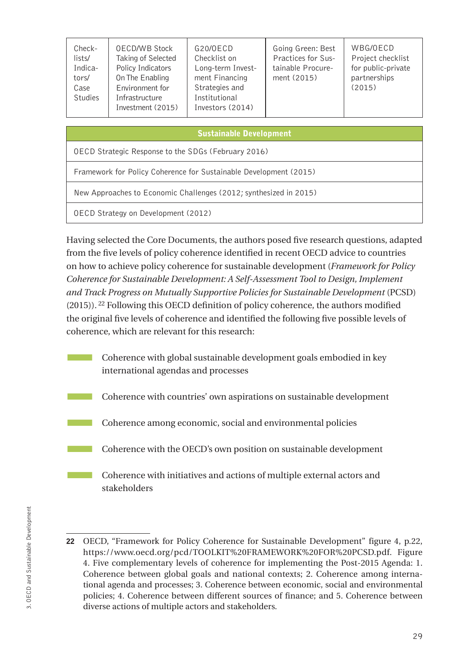| Check-<br>lists/<br>Indica-<br>tors/<br>Case<br><b>Studies</b> | <b>OECD/WB Stock</b><br>Taking of Selected<br>Policy Indicators<br>On The Enabling<br>Environment for<br>Infrastructure<br>Investment (2015) | G20/0ECD<br>Checklist on<br>Long-term Invest-<br>ment Financing<br>Strategies and<br>Institutional<br>Investors (2014) | Going Green: Best<br>Practices for Sus-<br>tainable Procure-<br>ment (2015) | WBG/OECD<br>Project checklist<br>for public-private<br>partnerships<br>(2015) |
|----------------------------------------------------------------|----------------------------------------------------------------------------------------------------------------------------------------------|------------------------------------------------------------------------------------------------------------------------|-----------------------------------------------------------------------------|-------------------------------------------------------------------------------|
|                                                                |                                                                                                                                              |                                                                                                                        |                                                                             |                                                                               |

#### Sustainable Development

OECD Strategic Response to the SDGs (February 2016)

Framework for Policy Coherence for Sustainable Development (2015)

New Approaches to Economic Challenges (2012; synthesized in 2015)

OECD Strategy on Development (2012)

Having selected the Core Documents, the authors posed five research questions, adapted from the five levels of policy coherence identified in recent OECD advice to countries on how to achieve policy coherence for sustainable development (*Framework for Policy Coherence for Sustainable Development: A Self-Assessment Tool to Design, Implement and Track Progress on Mutually Supportive Policies for Sustainable Development* (PCSD)  $(2015)$ ). <sup>22</sup> Following this OECD definition of policy coherence, the authors modified the original five levels of coherence and identified the following five possible levels of coherence, which are relevant for this research:

- Coherence with global sustainable development goals embodied in key international agendas and processes
- Coherence with countries' own aspirations on sustainable development
- Coherence among economic, social and environmental policies
- **EXECUTE:** Coherence with the OECD's own position on sustainable development
- **EXECUTE:** Coherence with initiatives and actions of multiple external actors and stakeholders

<sup>22</sup> OECD, "Framework for Policy Coherence for Sustainable Development" figure 4, p.22, h[ttps://www.oecd.org/pcd/TOOLKIT%20FRAMEWORK%20FOR%20PCSD.pdf.](https://www.oecd.org/pcd/TOOLKIT%2520FRAMEWORK%2520FOR%2520PCSD.pdf) Figure 4. Five complementary levels of coherence for implementing the Post-2015 Agenda: 1. Coherence between global goals and national contexts; 2. Coherence among international agenda and processes; 3. Coherence between economic, social and environmental policies; 4. Coherence between different sources of finance; and 5. Coherence between diverse actions of multiple actors and stakeholders.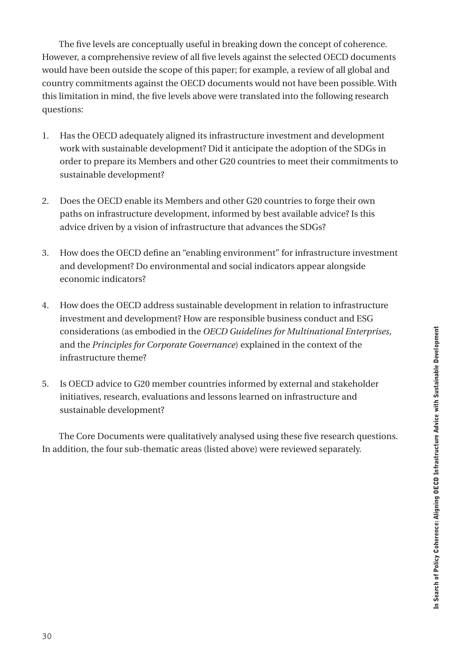The five levels are conceptually useful in breaking down the concept of coherence. However, a comprehensive review of all five levels against the selected OECD documents would have been outside the scope of this paper; for example, a review of all global and country commitments against the OECD documents would not have been possible. With this limitation in mind, the five levels above were translated into the following research questions:

- 1. Has the OECD adequately aligned its infrastructure investment and development work with sustainable development? Did it anticipate the adoption of the SDGs in order to prepare its Members and other G20 countries to meet their commitments to sustainable development?
- 2. Does the OECD enable its Members and other G20 countries to forge their own paths on infrastructure development, informed by best available advice? Is this advice driven by a vision of infrastructure that advances the SDGs?
- 3. How does the OECD define an "enabling environment" for infrastructure investment and development? Do environmental and social indicators appear alongside economic indicators?
- 4. How does the OECD address sustainable development in relation to infrastructure investment and development? How are responsible business conduct and ESG considerations (as embodied in the *OECD Guidelines for Multinational Enterprises*, and the *Principles for Corporate Governance*) explained in the context of the infrastructure theme?
- 5. Is OECD advice to G20 member countries informed by external and stakeholder initiatives, research, evaluations and lessons learned on infrastructure and sustainable development?

The Core Documents were qualitatively analysed using these five research questions. In addition, the four sub-thematic areas (listed above) were reviewed separately.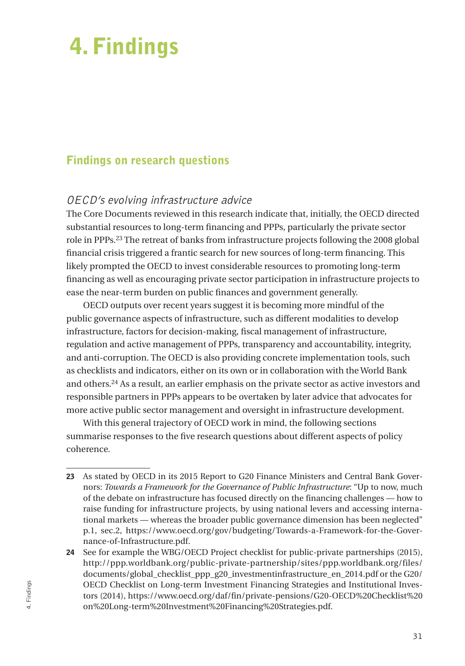## <span id="page-32-0"></span>4. Findings

## Findings on research questions

### OECD's evolving infrastructure advice

The Core Documents reviewed in this research indicate that, initially, the OECD directed substantial resources to long-term financing and PPPs, particularly the private sector role in PPPs.23 The retreat of banks from infrastructure projects following the 2008 global financial crisis triggered a frantic search for new sources of long-term financing. This likely prompted the OECD to invest considerable resources to promoting long-term financing as well as encouraging private sector participation in infrastructure projects to ease the near-term burden on public finances and government generally.

OECD outputs over recent years suggest it is becoming more mindful of the public governance aspects of infrastructure, such as different modalities to develop infrastructure, factors for decision-making, fiscal management of infrastructure, regulation and active management of PPPs, transparency and accountability, integrity, and anti-corruption. The OECD is also providing concrete implementation tools, such as checklists and indicators, either on its own or in collaboration with the World Bank and others.24 As a result, an earlier emphasis on the private sector as active investors and responsible partners in PPPs appears to be overtaken by later advice that advocates for more active public sector management and oversight in infrastructure development.

With this general trajectory of OECD work in mind, the following sections summarise responses to the five research questions about different aspects of policy coherence.

<sup>23</sup> As stated by OECD in its 2015 Report to G20 Finance Ministers and Central Bank Governors: *Towards a Framework for the Governance of Public Infrastructure*: "Up to now, much of the debate on infrastructure has focused directly on the financing challenges — how to raise funding for infrastructure projects, by using national levers and accessing international markets — whereas the broader public governance dimension has been neglected" p.1, sec.2, h[ttps://www.oecd.org/gov/budgeting/Towards-a-Framework-for-the-Gover](https://www.oecd.org/gov/budgeting/Towards-a-Framework-for-the-Governance-of-Infrastructure.pdf)[nance-of-Infrastructure.pdf](https://www.oecd.org/gov/budgeting/Towards-a-Framework-for-the-Governance-of-Infrastructure.pdf).

<sup>24</sup> See for example the WBG/OECD Project checklist for public-private partnerships (2015), h[ttp://ppp.worldbank.org/public-private-partnership/sites/ppp.worldbank.org/files/](http://ppp.worldbank.org/public-private-partnership/sites/ppp.worldbank.org/files/documents/global_checklist_ppp_g20_investmentinfrastructure_en_2014.pdf) [documents/global\\_checklist\\_ppp\\_g20\\_investmentinfrastructure\\_en\\_2014.pdf](http://ppp.worldbank.org/public-private-partnership/sites/ppp.worldbank.org/files/documents/global_checklist_ppp_g20_investmentinfrastructure_en_2014.pdf) or the G20/ OECD Checklist on Long-term Investment Financing Strategies and Institutional Investors (2014), h[ttps://www.oecd.org/daf/fin/private-pensions/G20-OECD%20Checklist%20](https://www.oecd.org/daf/fin/private-pensions/G20-OECD%2520Checklist%2520on%2520Long-term%2520Investment%2520Financing%2520Strategies.pdf) [on%20Long-term%20Investment%20Financing%20Strategies.pdf.](https://www.oecd.org/daf/fin/private-pensions/G20-OECD%2520Checklist%2520on%2520Long-term%2520Investment%2520Financing%2520Strategies.pdf)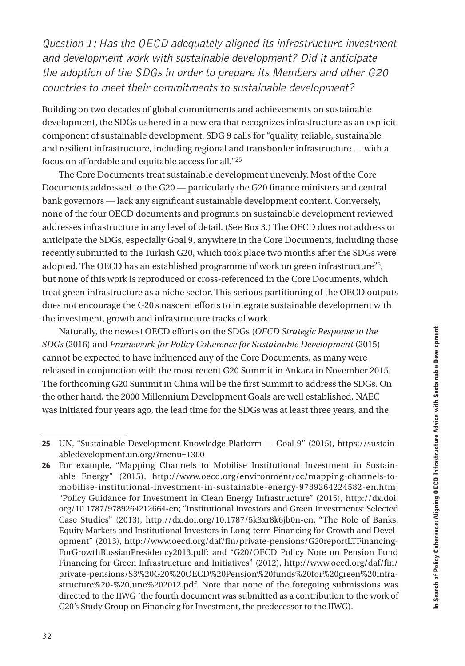Question 1: Has the OECD adequately aligned its infrastructure investment and development work with sustainable development? Did it anticipate the adoption of the SDGs in order to prepare its Members and other G20 countries to meet their commitments to sustainable development?

Building on two decades of global commitments and achievements on sustainable development, the SDGs ushered in a new era that recognizes infrastructure as an explicit component of sustainable development. SDG 9 calls for "quality, reliable, sustainable and resilient infrastructure, including regional and transborder infrastructure … with a focus on affordable and equitable access for all."25

The Core Documents treat sustainable development unevenly. Most of the Core Documents addressed to the G20 — particularly the G20 finance ministers and central bank governors — lack any significant sustainable development content. Conversely, none of the four OECD documents and programs on sustainable development reviewed addresses infrastructure in any level of detail. (See Box 3.) The OECD does not address or anticipate the SDGs, especially Goal 9, anywhere in the Core Documents, including those recently submitted to the Turkish G20, which took place two months after the SDGs were adopted. The OECD has an established programme of work on green infrastructure<sup>26</sup>, but none of this work is reproduced or cross-referenced in the Core Documents, which treat green infrastructure as a niche sector. This serious partitioning of the OECD outputs does not encourage the G20's nascent efforts to integrate sustainable development with the investment, growth and infrastructure tracks of work.

Naturally, the newest OECD efforts on the SDGs (*OECD Strategic Response to the SDGs* (2016) and *Framework for Policy Coherence for Sustainable Development* (2015) cannot be expected to have influenced any of the Core Documents, as many were released in conjunction with the most recent G20 Summit in Ankara in November 2015. The forthcoming G20 Summit in China will be the first Summit to address the SDGs. On the other hand, the 2000 Millennium Development Goals are well established, NAEC was initiated four years ago, the lead time for the SDGs was at least three years, and the

<sup>25</sup> UN, "Sustainable Development Knowledge Platform — Goal 9" (2015), h[ttps://sustain](https://sustainabledevelopment.un.org/?menu=1300)[abledevelopment.un.org/?menu=1300](https://sustainabledevelopment.un.org/?menu=1300)

<sup>26</sup> For example, "Mapping Channels to Mobilise Institutional Investment in Sustainable Energy" (2015), h[ttp://www.oecd.org/environment/cc/mapping-channels-to](http://www.oecd.org/environment/cc/mapping-channels-to-mobilise-institutional-investment-in-sustainable-energy-9789264224582-en.htm)[mobilise-institutional-investment-in-sustainable-energy-9789264224582-en.htm;](http://www.oecd.org/environment/cc/mapping-channels-to-mobilise-institutional-investment-in-sustainable-energy-9789264224582-en.htm) "Policy Guidance for Investment in Clean Energy Infrastructure" (2015), [http://dx.doi.](http://dx.doi.org/10.1787/9789264212664-en) [org/10.1787/9789264212664-en;](http://dx.doi.org/10.1787/9789264212664-en) "Institutional Investors and Green Investments: Selected Case Studies" (2013), h[ttp://dx.doi.org/10.1787/5k3xr8k6jb0n-en;](http://dx.doi.org/10.1787/5k3xr8k6jb0n-en) "The Role of Banks, Equity Markets and Institutional Investors in Long-term Financing for Growth and Development" (2013), [http://www.oecd.org/daf/fin/private-pensions/G20reportLTFinancing-](http://www.oecd.org/daf/fin/private-pensions/G20reportLTFinancingForGrowthRussianPresidency2013.pdf)[ForGrowthRussianPresidency2013.pdf;](http://www.oecd.org/daf/fin/private-pensions/G20reportLTFinancingForGrowthRussianPresidency2013.pdf) and "G20/OECD Policy Note on Pension Fund Financing for Green Infrastructure and Initiatives" (2012), h[ttp://www.oecd.org/daf/fin/](http://www.oecd.org/daf/fin/private-pensions/S3 G20 OECD Pension funds for green infrastructure - June 2012.pdf) [private-pensions/S3%20G20%20OECD%20Pension%20funds%20for%20green%20infra](http://www.oecd.org/daf/fin/private-pensions/S3 G20 OECD Pension funds for green infrastructure - June 2012.pdf)[structure%20-%20June%202012.pdf. N](http://www.oecd.org/daf/fin/private-pensions/S3 G20 OECD Pension funds for green infrastructure - June 2012.pdf)ote that none of the foregoing submissions was directed to the IIWG (the fourth document was submitted as a contribution to the work of G20's Study Group on Financing for Investment, the predecessor to the IIWG).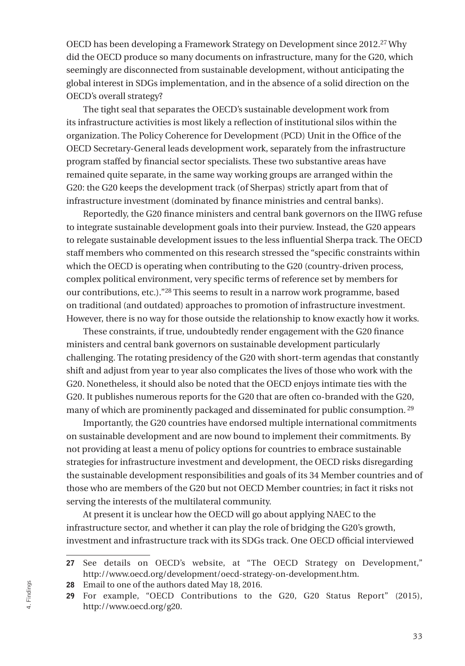OECD has been developing a Framework Strategy on Development since 2012.27 Why did the OECD produce so many documents on infrastructure, many for the G20, which seemingly are disconnected from sustainable development, without anticipating the global interest in SDGs implementation, and in the absence of a solid direction on the OECD's overall strategy?

The tight seal that separates the OECD's sustainable development work from its infrastructure activities is most likely a reflection of institutional silos within the organization. The Policy Coherence for Development (PCD) Unit in the Office of the OECD Secretary-General leads development work, separately from the infrastructure program staffed by financial sector specialists. These two substantive areas have remained quite separate, in the same way working groups are arranged within the G20: the G20 keeps the development track (of Sherpas) strictly apart from that of infrastructure investment (dominated by finance ministries and central banks).

Reportedly, the G20 finance ministers and central bank governors on the IIWG refuse to integrate sustainable development goals into their purview. Instead, the G20 appears to relegate sustainable development issues to the less influential Sherpa track. The OECD staff members who commented on this research stressed the "specific constraints within which the OECD is operating when contributing to the G20 (country-driven process, complex political environment, very specific terms of reference set by members for our contributions, etc.)."28 This seems to result in a narrow work programme, based on traditional (and outdated) approaches to promotion of infrastructure investment. However, there is no way for those outside the relationship to know exactly how it works.

These constraints, if true, undoubtedly render engagement with the G20 finance ministers and central bank governors on sustainable development particularly challenging. The rotating presidency of the G20 with short-term agendas that constantly shift and adjust from year to year also complicates the lives of those who work with the G20. Nonetheless, it should also be noted that the OECD enjoys intimate ties with the G20. It publishes numerous reports for the G20 that are often co-branded with the G20, many of which are prominently packaged and disseminated for public consumption. 29

Importantly, the G20 countries have endorsed multiple international commitments on sustainable development and are now bound to implement their commitments. By not providing at least a menu of policy options for countries to embrace sustainable strategies for infrastructure investment and development, the OECD risks disregarding the sustainable development responsibilities and goals of its 34 Member countries and of those who are members of the G20 but not OECD Member countries; in fact it risks not serving the interests of the multilateral community.

At present it is unclear how the OECD will go about applying NAEC to the infrastructure sector, and whether it can play the role of bridging the G20's growth, investment and infrastructure track with its SDGs track. One OECD official interviewed

<sup>27</sup> See details on OECD's website, at "The OECD Strategy on Development," [http://www.oecd.org/development/oecd-strategy-on-development.htm.](http://www.oecd.org/development/oecd-strategy-on-development.htm)

<sup>28</sup> Email to one of the authors dated May 18, 2016.

<sup>29</sup> For example, "OECD Contributions to the G20, G20 Status Report" (2015), <http://www.oecd.org/g20>.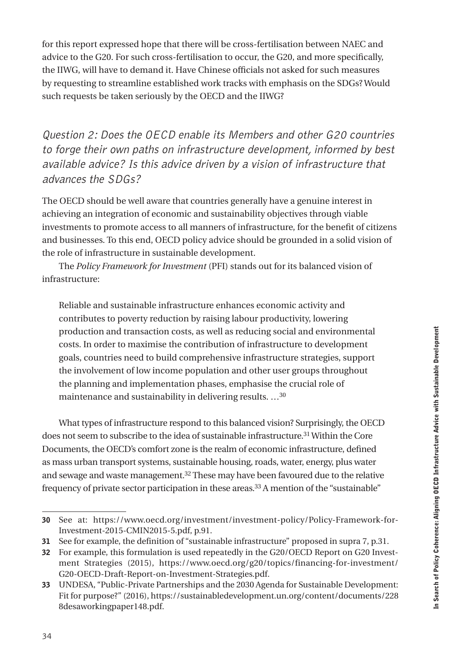for this report expressed hope that there will be cross-fertilisation between NAEC and advice to the G20. For such cross-fertilisation to occur, the G20, and more specifically, the IIWG, will have to demand it. Have Chinese officials not asked for such measures by requesting to streamline established work tracks with emphasis on the SDGs? Would such requests be taken seriously by the OECD and the IIWG?

Question 2: Does the OECD enable its Members and other G20 countries to forge their own paths on infrastructure development, informed by best available advice? Is this advice driven by a vision of infrastructure that advances the SDGs?

The OECD should be well aware that countries generally have a genuine interest in achieving an integration of economic and sustainability objectives through viable investments to promote access to all manners of infrastructure, for the benefit of citizens and businesses. To this end, OECD policy advice should be grounded in a solid vision of the role of infrastructure in sustainable development.

The *Policy Framework for Investment* (PFI) stands out for its balanced vision of infrastructure:

Reliable and sustainable infrastructure enhances economic activity and contributes to poverty reduction by raising labour productivity, lowering production and transaction costs, as well as reducing social and environmental costs. In order to maximise the contribution of infrastructure to development goals, countries need to build comprehensive infrastructure strategies, support the involvement of low income population and other user groups throughout the planning and implementation phases, emphasise the crucial role of maintenance and sustainability in delivering results. …30

What types of infrastructure respond to this balanced vision? Surprisingly, the OECD does not seem to subscribe to the idea of sustainable infrastructure.31 Within the Core Documents, the OECD's comfort zone is the realm of economic infrastructure, defined as mass urban transport systems, sustainable housing, roads, water, energy, plus water and sewage and waste management.32 These may have been favoured due to the relative frequency of private sector participation in these areas.<sup>33</sup> A mention of the "sustainable"

<sup>30</sup> See at: h[ttps://www.oecd.org/investment/investment-policy/Policy-Framework-for-](https://www.oecd.org/investment/investment-policy/Policy-Framework-for-Investment-2015-CMIN2015-5.pdf)[Investment-2015-CMIN2015-5.pdf](https://www.oecd.org/investment/investment-policy/Policy-Framework-for-Investment-2015-CMIN2015-5.pdf), p.91.

<sup>31</sup> See for example, the definition of "sustainable infrastructure" proposed in supra 7, p.31.

<sup>32</sup> For example, this formulation is used repeatedly in the G20/OECD Report on G20 Investment Strategies (2015), [https://www.oecd.org/g20/topics/financing-for-investment/](https://www.oecd.org/g20/topics/financing-for-investment/G20-OECD-Draft-Report-on-Investment-Strategies.pdf) [G20-OECD-Draft-Report-on-Investment-Strategies.pdf.](https://www.oecd.org/g20/topics/financing-for-investment/G20-OECD-Draft-Report-on-Investment-Strategies.pdf)

<sup>33</sup> UNDESA, "Public-Private Partnerships and the 2030 Agenda for Sustainable Development: Fit for purpose?" (2016), h[ttps://sustainabledevelopment.un.org/content/documents/228](https://sustainabledevelopment.un.org/content/documents/2288desaworkingpaper148.pdf) [8desaworkingpaper148.pdf](https://sustainabledevelopment.un.org/content/documents/2288desaworkingpaper148.pdf).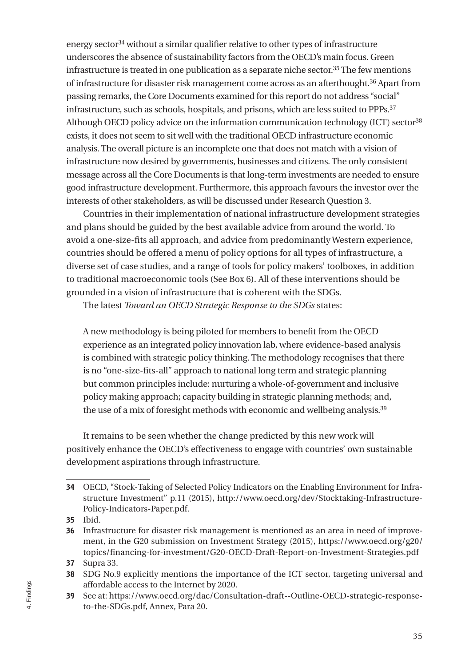energy sector34 without a similar qualifier relative to other types of infrastructure underscores the absence of sustainability factors from the OECD's main focus. Green infrastructure is treated in one publication as a separate niche sector.35 The few mentions of infrastructure for disaster risk management come across as an afterthought.36 Apart from passing remarks, the Core Documents examined for this report do not address "social" infrastructure, such as schools, hospitals, and prisons, which are less suited to PPPs.37 Although OECD policy advice on the information communication technology (ICT) sector<sup>38</sup> exists, it does not seem to sit well with the traditional OECD infrastructure economic analysis. The overall picture is an incomplete one that does not match with a vision of infrastructure now desired by governments, businesses and citizens. The only consistent message across all the Core Documents is that long-term investments are needed to ensure good infrastructure development. Furthermore, this approach favours the investor over the interests of other stakeholders, as will be discussed under Research Question 3.

Countries in their implementation of national infrastructure development strategies and plans should be guided by the best available advice from around the world. To avoid a one-size-fits all approach, and advice from predominantly Western experience, countries should be offered a menu of policy options for all types of infrastructure, a diverse set of case studies, and a range of tools for policy makers' toolboxes, in addition to traditional macroeconomic tools (See Box 6). All of these interventions should be grounded in a vision of infrastructure that is coherent with the SDGs.

The latest *Toward an OECD Strategic Response to the SDGs* states:

A new methodology is being piloted for members to benefit from the OECD experience as an integrated policy innovation lab, where evidence-based analysis is combined with strategic policy thinking. The methodology recognises that there is no "one-size-fits-all" approach to national long term and strategic planning but common principles include: nurturing a whole-of-government and inclusive policy making approach; capacity building in strategic planning methods; and, the use of a mix of foresight methods with economic and wellbeing analysis.39

It remains to be seen whether the change predicted by this new work will positively enhance the OECD's effectiveness to engage with countries' own sustainable development aspirations through infrastructure.

- 37 Supra 33.
- 38 SDG No.9 explicitly mentions the importance of the ICT sector, targeting universal and affordable access to the Internet by 2020.

<sup>34</sup> OECD, "Stock-Taking of Selected Policy Indicators on the Enabling Environment for Infrastructure Investment" p.11 (2015), [http://www.oecd.org/dev/Stocktaking-Infrastructure-](http://www.oecd.org/dev/Stocktaking-Infrastructure-Policy-Indicators-Paper.pdf)[Policy-Indicators-Paper.pdf.](http://www.oecd.org/dev/Stocktaking-Infrastructure-Policy-Indicators-Paper.pdf)

<sup>35</sup> Ibid.

<sup>36</sup> Infrastructure for disaster risk management is mentioned as an area in need of improvement, in the G20 submission on Investment Strategy (2015), [https://www.oecd.org/g20/](https://www.oecd.org/g20/topics/financing-for-investment/G20-OECD-Draft-Report-on-Investment-Strategies.pdf) [topics/financing-for-investment/G20-OECD-Draft-Report-on-Investment-Strategies.pdf](https://www.oecd.org/g20/topics/financing-for-investment/G20-OECD-Draft-Report-on-Investment-Strategies.pdf)

<sup>39</sup> See at: h[ttps://www.oecd.org/dac/Consultation-draft--Outline-OECD-strategic-response](https://www.oecd.org/dac/Consultation-draft--Outline-OECD-strategic-response-to-the-SDGs.pdf)[to-the-SDGs.pdf,](https://www.oecd.org/dac/Consultation-draft--Outline-OECD-strategic-response-to-the-SDGs.pdf) Annex, Para 20.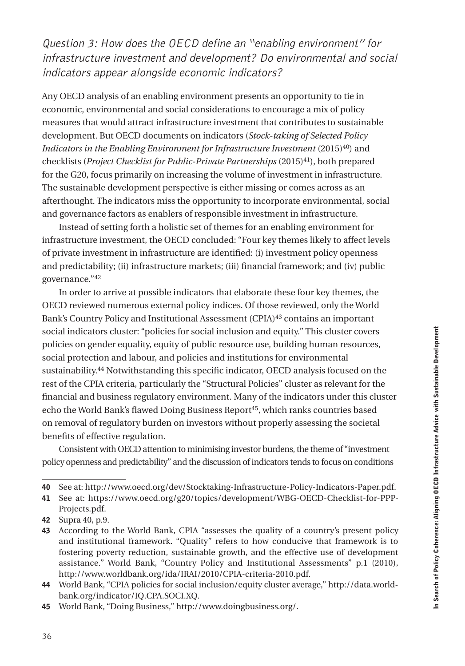Any OECD analysis of an enabling environment presents an opportunity to tie in economic, environmental and social considerations to encourage a mix of policy measures that would attract infrastructure investment that contributes to sustainable development. But OECD documents on indicators (*Stock-taking of Selected Policy Indicators in the Enabling Environment for Infrastructure Investment* (2015)<sup>40</sup>) and checklists (*Project Checklist for Public-Private Partnerships* (2015)41), both prepared for the G20, focus primarily on increasing the volume of investment in infrastructure. The sustainable development perspective is either missing or comes across as an afterthought. The indicators miss the opportunity to incorporate environmental, social and governance factors as enablers of responsible investment in infrastructure.

Instead of setting forth a holistic set of themes for an enabling environment for infrastructure investment, the OECD concluded: "Four key themes likely to affect levels of private investment in infrastructure are identified: (i) investment policy openness and predictability; (ii) infrastructure markets; (iii) financial framework; and (iv) public governance."42

In order to arrive at possible indicators that elaborate these four key themes, the OECD reviewed numerous external policy indices. Of those reviewed, only the World Bank's Country Policy and Institutional Assessment (CPIA)43 contains an important social indicators cluster: "policies for social inclusion and equity." This cluster covers policies on gender equality, equity of public resource use, building human resources, social protection and labour, and policies and institutions for environmental sustainability.44 Notwithstanding this specific indicator, OECD analysis focused on the rest of the CPIA criteria, particularly the "Structural Policies" cluster as relevant for the financial and business regulatory environment. Many of the indicators under this cluster echo the World Bank's flawed Doing Business Report45, which ranks countries based on removal of regulatory burden on investors without properly assessing the societal benefits of effective regulation.

Consistent with OECD attention to minimising investor burdens, the theme of "investment policy openness and predictability" and the discussion of indicators tends to focus on conditions

<sup>40</sup> See at: [http://www.oecd.org/dev/Stocktaking-Infrastructure-Policy-Indicators-Paper.pdf.](http://www.oecd.org/dev/Stocktaking-Infrastructure-Policy-Indicators-Paper.pdf)

<sup>41</sup> See at: h[ttps://www.oecd.org/g20/topics/development/WBG-OECD-Checklist-for-PPP-](https://www.oecd.org/g20/topics/development/WBG-OECD-Checklist-for-PPP-Projects.pdf)[Projects.pdf.](https://www.oecd.org/g20/topics/development/WBG-OECD-Checklist-for-PPP-Projects.pdf)

<sup>42</sup> Supra 40, p.9.

<sup>43</sup> According to the World Bank, CPIA "assesses the quality of a country's present policy and institutional framework. "Quality" refers to how conducive that framework is to fostering poverty reduction, sustainable growth, and the effective use of development assistance." World Bank, "Country Policy and Institutional Assessments" p.1 (2010), h[ttp://www.worldbank.org/ida/IRAI/2010/CPIA-criteria-2010.pdf.](http://www.worldbank.org/ida/IRAI/2010/CPIA-criteria-2010.pdf) 

<sup>44</sup> World Bank, "CPIA policies for social inclusion/equity cluster average," h[ttp://data.world](http://data.worldbank.org/indicator/IQ.CPA.SOCI.XQ)[bank.org/indicator/IQ.CPA.SOCI.XQ.](http://data.worldbank.org/indicator/IQ.CPA.SOCI.XQ)

<sup>45</sup> World Bank, "Doing Business," h[ttp://www.doingbusiness.org/.](http://www.doingbusiness.org/)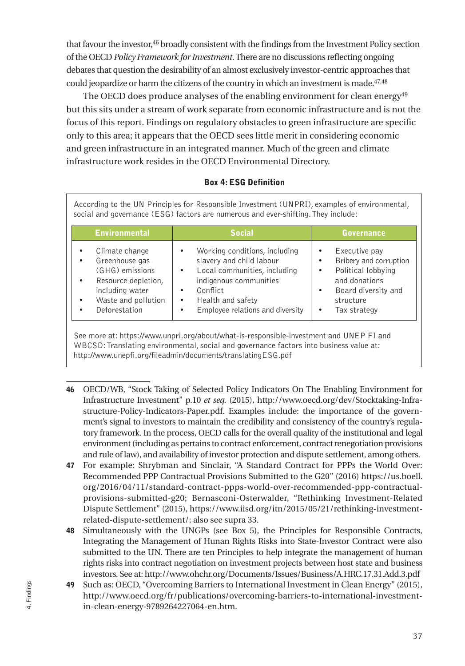<span id="page-38-0"></span>that favour the investor,46 broadly consistent with the findings from the Investment Policy section of the OECD *Policy Framework for Investment*. There are no discussions reflecting ongoing debates that question the desirability of an almost exclusively investor-centric approaches that could jeopardize or harm the citizens of the country in which an investment is made.<sup>47,48</sup>

The OECD does produce analyses of the enabling environment for clean energy<sup>49</sup> but this sits under a stream of work separate from economic infrastructure and is not the focus of this report. Findings on regulatory obstacles to green infrastructure are specific only to this area; it appears that the OECD sees little merit in considering economic and green infrastructure in an integrated manner. Much of the green and climate infrastructure work resides in the OECD Environmental Directory.

#### Box 4: ESG Definition

According to the UN Principles for Responsible Investment (UNPRI), examples of environmental, social and governance (ESG) factors are numerous and ever-shifting. They include:

| <b>Environmental</b>                                                                                                                                           | <b>Social</b>                                                                                                                                                                                 | <b>Governance</b>                                                                                                                                           |  |
|----------------------------------------------------------------------------------------------------------------------------------------------------------------|-----------------------------------------------------------------------------------------------------------------------------------------------------------------------------------------------|-------------------------------------------------------------------------------------------------------------------------------------------------------------|--|
| Climate change<br>٠<br>Greenhouse gas<br>٠<br>(GHG) emissions<br>Resource depletion,<br>٠<br>including water<br>Waste and pollution<br>٠<br>Deforestation<br>٠ | Working conditions, including<br>slavery and child labour<br>Local communities, including<br>indigenous communities<br>Conflict<br>Health and safety<br>٠<br>Employee relations and diversity | Executive pay<br>٠<br>Bribery and corruption<br>٠<br>Political lobbying<br>٠<br>and donations<br>Board diversity and<br>٠<br>structure<br>Tax strategy<br>٠ |  |

See more at: <https://www.unpri.org/about/what-is-responsible-investment> and UNEP FI and WBCSD: Translating environmental, social and governance factors into business value at: <http://www.unepfi.org/fileadmin/documents/translatingESG.pdf>

- 46 OECD/WB, "Stock Taking of Selected Policy Indicators On The Enabling Environment for Infrastructure Investment" p.10 *et seq.* (2015), [http://www.oecd.org/dev/Stocktaking-Infra](http://www.oecd.org/dev/Stocktaking-Infrastructure-Policy-Indicators-Paper.pdf)[structure-Policy-Indicators-Paper.pdf.](http://www.oecd.org/dev/Stocktaking-Infrastructure-Policy-Indicators-Paper.pdf) Examples include: the importance of the government's signal to investors to maintain the credibility and consistency of the country's regulatory framework. In the process, OECD calls for the overall quality of the institutional and legal environment (including as pertains to contract enforcement, contract renegotiation provisions and rule of law), and availability of investor protection and dispute settlement, among others.
- 47 For example: Shrybman and Sinclair, "A Standard Contract for PPPs the World Over: Recommended PPP Contractual Provisions Submitted to the G20" (2016) h[ttps://us.boell.](https://us.boell.org/2016/04/11/standard-contract-ppps-world-over-recommended-ppp-contractual-provisions-submitted-g20) [org/2016/04/11/standard-contract-ppps-world-over-recommended-ppp-contractual](https://us.boell.org/2016/04/11/standard-contract-ppps-world-over-recommended-ppp-contractual-provisions-submitted-g20)[provisions-submitted-g20;](https://us.boell.org/2016/04/11/standard-contract-ppps-world-over-recommended-ppp-contractual-provisions-submitted-g20) Bernasconi-Osterwalder, "Rethinking Investment-Related Dispute Settlement" (2015), [https://www.iisd.org/itn/2015/05/21/rethinking-investment](https://www.iisd.org/itn/2015/05/21/rethinking-investment-related-dispute-settlement/;)[related-dispute-settlement/; a](https://www.iisd.org/itn/2015/05/21/rethinking-investment-related-dispute-settlement/;)lso see supra 33.
- 48 Simultaneously with the UNGPs (see Box 5), the Principles for Responsible Contracts, Integrating the Management of Hunan Rights Risks into State-Investor Contract were also submitted to the UN. There are ten Principles to help integrate the management of human rights risks into contract negotiation on investment projects between host state and business investors. See at: h[ttp://www.ohchr.org/Documents/Issues/Business/A.HRC.17.31.Add.3.pdf](http://www.ohchr.org/Documents/Issues/Business/A.HRC.17.31.Add.3.pdf)
- 49 Such as: OECD, "Overcoming Barriers to International Investment in Clean Energy" (2015), [http://www.oecd.org/fr/publications/overcoming-barriers-to-international-investment](http://www.oecd.org/fr/publications/overcoming-barriers-to-international-investment-in-clean-energy-9789264227064-en.htm)[in-clean-energy-9789264227064-en.htm.](http://www.oecd.org/fr/publications/overcoming-barriers-to-international-investment-in-clean-energy-9789264227064-en.htm)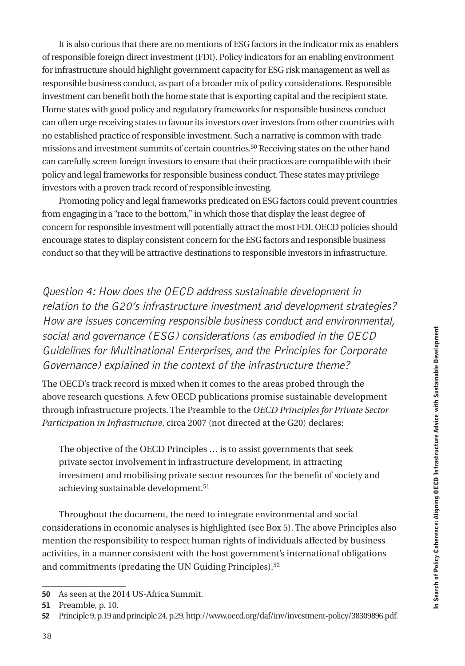It is also curious that there are no mentions of ESG factors in the indicator mix as enablers of responsible foreign direct investment (FDI). Policy indicators for an enabling environment for infrastructure should highlight government capacity for ESG risk management as well as responsible business conduct, as part of a broader mix of policy considerations. Responsible investment can benefit both the home state that is exporting capital and the recipient state. Home states with good policy and regulatory frameworks for responsible business conduct can often urge receiving states to favour its investors over investors from other countries with no established practice of responsible investment. Such a narrative is common with trade missions and investment summits of certain countries.50 Receiving states on the other hand can carefully screen foreign investors to ensure that their practices are compatible with their policy and legal frameworks for responsible business conduct. These states may privilege investors with a proven track record of responsible investing.

Promoting policy and legal frameworks predicated on ESG factors could prevent countries from engaging in a "race to the bottom," in which those that display the least degree of concern for responsible investment will potentially attract the most FDI. OECD policies should encourage states to display consistent concern for the ESG factors and responsible business conduct so that they will be attractive destinations to responsible investors in infrastructure.

Question 4: How does the OECD address sustainable development in relation to the G20's infrastructure investment and development strategies? How are issues concerning responsible business conduct and environmental, social and governance (ESG) considerations (as embodied in the OECD Guidelines for Multinational Enterprises, and the Principles for Corporate Governance) explained in the context of the infrastructure theme?

The OECD's track record is mixed when it comes to the areas probed through the above research questions. A few OECD publications promise sustainable development through infrastructure projects. The Preamble to the *OECD Principles for Private Sector Participation in Infrastructure*, circa 2007 (not directed at the G20) declares:

The objective of the OECD Principles … is to assist governments that seek private sector involvement in infrastructure development, in attracting investment and mobilising private sector resources for the benefit of society and achieving sustainable development.<sup>51</sup>

Throughout the document, the need to integrate environmental and social considerations in economic analyses is highlighted (see Box 5). The above Principles also mention the responsibility to respect human rights of individuals affected by business activities, in a manner consistent with the host government's international obligations and commitments (predating the UN Guiding Principles).52

<sup>50</sup> As seen at the 2014 US-Africa Summit.

<sup>51</sup> Preamble, p. 10.

<sup>52</sup> Principle 9, p.19 and principle 24, p.29, <http://www.oecd.org/daf/inv/investment-policy/38309896.pdf>.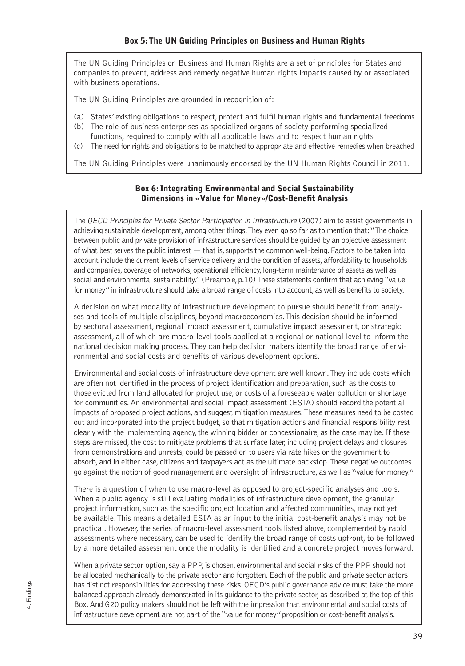<span id="page-40-0"></span>The UN Guiding Principles on Business and Human Rights are a set of principles for States and companies to prevent, address and remedy negative human rights impacts caused by or associated with business operations.

The UN Guiding Principles are grounded in recognition of:

- (a) States' existing obligations to respect, protect and fulfil human rights and fundamental freedoms
- (b) The role of business enterprises as specialized organs of society performing specialized functions, required to comply with all applicable laws and to respect human rights
- (c) The need for rights and obligations to be matched to appropriate and effective remedies when breached

The UN Guiding Principles were unanimously endorsed by the UN Human Rights Council in 2011.

#### Box 6: Integrating Environmental and Social Sustainability Dimensions in «Value for Money»/Cost-Benefit Analysis

The OECD Principles for Private Sector Participation in Infrastructure (2007) aim to assist governments in achieving sustainable development, among other things. They even go so far as to mention that: "The choice between public and private provision of infrastructure services should be guided by an objective assessment of what best serves the public interest — that is, supports the common well-being. Factors to be taken into account include the current levels of service delivery and the condition of assets, affordability to households and companies, coverage of networks, operational efficiency, long-term maintenance of assets as well as social and environmental sustainability." (Preamble, p.10) These statements confirm that achieving "value for money" in infrastructure should take a broad range of costs into account, as well as benefits to society.

A decision on what modality of infrastructure development to pursue should benefit from analyses and tools of multiple disciplines, beyond macroeconomics. This decision should be informed by sectoral assessment, regional impact assessment, cumulative impact assessment, or strategic assessment, all of which are macro-level tools applied at a regional or national level to inform the national decision making process. They can help decision makers identify the broad range of environmental and social costs and benefits of various development options.

Environmental and social costs of infrastructure development are well known. They include costs which are often not identified in the process of project identification and preparation, such as the costs to those evicted from land allocated for project use, or costs of a foreseeable water pollution or shortage for communities. An environmental and social impact assessment (ESIA) should record the potential impacts of proposed project actions, and suggest mitigation measures. These measures need to be costed out and incorporated into the project budget, so that mitigation actions and financial responsibility rest clearly with the implementing agency, the winning bidder or concessionaire, as the case may be. If these steps are missed, the cost to mitigate problems that surface later, including project delays and closures from demonstrations and unrests, could be passed on to users via rate hikes or the government to absorb, and in either case, citizens and taxpayers act as the ultimate backstop. These negative outcomes go against the notion of good management and oversight of infrastructure, as well as "value for money."

There is a question of when to use macro-level as opposed to project-specific analyses and tools. When a public agency is still evaluating modalities of infrastructure development, the granular project information, such as the specific project location and affected communities, may not yet be available. This means a detailed ESIA as an input to the initial cost-benefit analysis may not be practical. However, the series of macro-level assessment tools listed above, complemented by rapid assessments where necessary, can be used to identify the broad range of costs upfront, to be followed by a more detailed assessment once the modality is identified and a concrete project moves forward.

When a private sector option, say a PPP, is chosen, environmental and social risks of the PPP should not be allocated mechanically to the private sector and forgotten. Each of the public and private sector actors has distinct responsibilities for addressing these risks. OECD's public governance advice must take the more balanced approach already demonstrated in its guidance to the private sector, as described at the top of this Box. And G20 policy makers should not be left with the impression that environmental and social costs of infrastructure development are not part of the "value for money" proposition or cost-benefit analysis.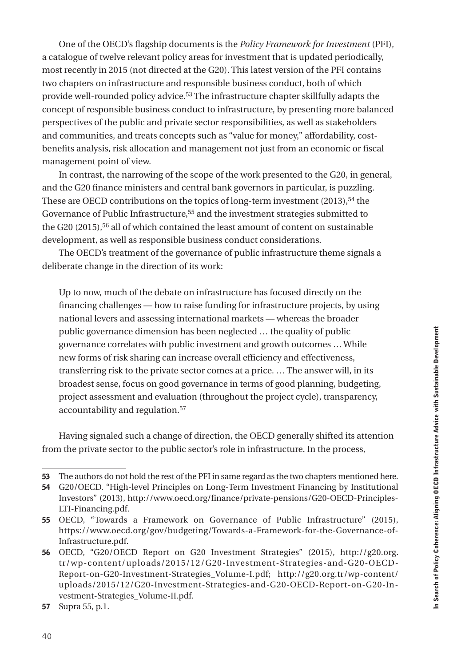One of the OECD's flagship documents is the *Policy Framework for Investment* (PFI), a catalogue of twelve relevant policy areas for investment that is updated periodically, most recently in 2015 (not directed at the G20). This latest version of the PFI contains two chapters on infrastructure and responsible business conduct, both of which provide well-rounded policy advice.53 The infrastructure chapter skillfully adapts the concept of responsible business conduct to infrastructure, by presenting more balanced perspectives of the public and private sector responsibilities, as well as stakeholders and communities, and treats concepts such as "value for money," affordability, costbenefits analysis, risk allocation and management not just from an economic or fiscal management point of view.

In contrast, the narrowing of the scope of the work presented to the G20, in general, and the G20 finance ministers and central bank governors in particular, is puzzling. These are OECD contributions on the topics of long-term investment (2013),<sup>54</sup> the Governance of Public Infrastructure,<sup>55</sup> and the investment strategies submitted to the G20 (2015),<sup>56</sup> all of which contained the least amount of content on sustainable development, as well as responsible business conduct considerations.

The OECD's treatment of the governance of public infrastructure theme signals a deliberate change in the direction of its work:

Up to now, much of the debate on infrastructure has focused directly on the financing challenges — how to raise funding for infrastructure projects, by using national levers and assessing international markets — whereas the broader public governance dimension has been neglected … the quality of public governance correlates with public investment and growth outcomes … While new forms of risk sharing can increase overall efficiency and effectiveness, transferring risk to the private sector comes at a price. … The answer will, in its broadest sense, focus on good governance in terms of good planning, budgeting, project assessment and evaluation (throughout the project cycle), transparency, accountability and regulation.57

Having signaled such a change of direction, the OECD generally shifted its attention from the private sector to the public sector's role in infrastructure. In the process,

<sup>53</sup> The authors do not hold the rest of the PFI in same regard as the two chapters mentioned here.

<sup>54</sup> G20/OECD. "High-level Principles on Long-Term Investment Financing by Institutional Investors" (2013), [http://www.oecd.org/finance/private-pensions/G20-OECD-Principles-](http://www.oecd.org/finance/private-pensions/G20-OECD-Principles-LTI-Financing.pdf)[LTI-Financing.pdf.](http://www.oecd.org/finance/private-pensions/G20-OECD-Principles-LTI-Financing.pdf)

<sup>55</sup> OECD, "Towards a Framework on Governance of Public Infrastructure" (2015), h[ttps://www.oecd.org/gov/budgeting/Towards-a-Framework-for-the-Governance-of-](https://www.oecd.org/gov/budgeting/Towards-a-Framework-for-the-Governance-of-Infrastructure.pdf)[Infrastructure.pdf.](https://www.oecd.org/gov/budgeting/Towards-a-Framework-for-the-Governance-of-Infrastructure.pdf)

<sup>56</sup> OECD, "G20/OECD Report on G20 Investment Strategies" (2015), h[ttp://g20.org.](http://g20.org.tr/wp-content/uploads/2015/12/G20-Investment-Strategies-and-G20-OECD-Report-on-G20-Investment-Strategies_Volume-I.pdf) [tr/wp-content/uploads/2015/12/G20-Investment-Strategies-and-G20-OECD-](http://g20.org.tr/wp-content/uploads/2015/12/G20-Investment-Strategies-and-G20-OECD-Report-on-G20-Investment-Strategies_Volume-I.pdf)[Report-on-G20-Investment-Strategies\\_Volume-I.pdf;](http://g20.org.tr/wp-content/uploads/2015/12/G20-Investment-Strategies-and-G20-OECD-Report-on-G20-Investment-Strategies_Volume-I.pdf) [http://g20.org.tr/wp-content/](http://g20.org.tr/wp-content/uploads/2015/12/G20-Investment-Strategies-and-G20-OECD-Report-on-G20-Investment-Strategies_Volume-II.pdf) [uploads/2015/12/G20-Investment-Strategies-and-G20-OECD-Report-on-G20-In](http://g20.org.tr/wp-content/uploads/2015/12/G20-Investment-Strategies-and-G20-OECD-Report-on-G20-Investment-Strategies_Volume-II.pdf)[vestment-Strategies\\_Volume-II.pdf.](http://g20.org.tr/wp-content/uploads/2015/12/G20-Investment-Strategies-and-G20-OECD-Report-on-G20-Investment-Strategies_Volume-II.pdf)

<sup>57</sup> Supra 55, p.1.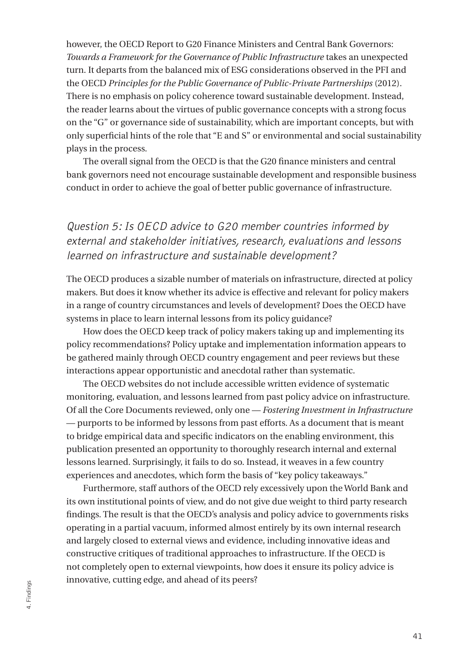however, the OECD Report to G20 Finance Ministers and Central Bank Governors: *Towards a Framework for the Governance of Public Infrastructure* takes an unexpected turn. It departs from the balanced mix of ESG considerations observed in the PFI and the OECD *Principles for the Public Governance of Public-Private Partnerships* (2012). There is no emphasis on policy coherence toward sustainable development. Instead, the reader learns about the virtues of public governance concepts with a strong focus on the "G" or governance side of sustainability, which are important concepts, but with only superficial hints of the role that "E and S" or environmental and social sustainability plays in the process.

The overall signal from the OECD is that the G20 finance ministers and central bank governors need not encourage sustainable development and responsible business conduct in order to achieve the goal of better public governance of infrastructure.

## Question 5: Is OECD advice to G20 member countries informed by external and stakeholder initiatives, research, evaluations and lessons learned on infrastructure and sustainable development?

The OECD produces a sizable number of materials on infrastructure, directed at policy makers. But does it know whether its advice is effective and relevant for policy makers in a range of country circumstances and levels of development? Does the OECD have systems in place to learn internal lessons from its policy guidance?

How does the OECD keep track of policy makers taking up and implementing its policy recommendations? Policy uptake and implementation information appears to be gathered mainly through OECD country engagement and peer reviews but these interactions appear opportunistic and anecdotal rather than systematic.

The OECD websites do not include accessible written evidence of systematic monitoring, evaluation, and lessons learned from past policy advice on infrastructure. Of all the Core Documents reviewed, only one — *Fostering Investment in Infrastructure* — purports to be informed by lessons from past efforts. As a document that is meant to bridge empirical data and specific indicators on the enabling environment, this publication presented an opportunity to thoroughly research internal and external lessons learned. Surprisingly, it fails to do so. Instead, it weaves in a few country experiences and anecdotes, which form the basis of "key policy takeaways."

Furthermore, staff authors of the OECD rely excessively upon the World Bank and its own institutional points of view, and do not give due weight to third party research findings. The result is that the OECD's analysis and policy advice to governments risks operating in a partial vacuum, informed almost entirely by its own internal research and largely closed to external views and evidence, including innovative ideas and constructive critiques of traditional approaches to infrastructure. If the OECD is not completely open to external viewpoints, how does it ensure its policy advice is innovative, cutting edge, and ahead of its peers?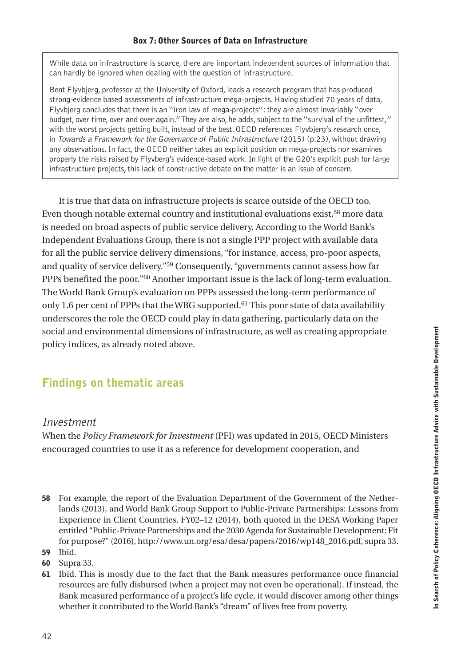<span id="page-43-0"></span>While data on infrastructure is scarce, there are important independent sources of information that can hardly be ignored when dealing with the question of infrastructure.

Bent Flyvbjerg, professor at the University of Oxford, leads a research program that has produced strong-evidence based assessments of infrastructure mega-projects. Having studied 70 years of data, Flyvbjerg concludes that there is an "iron law of mega-projects": they are almost invariably "over budget, over time, over and over again." They are also, he adds, subject to the "survival of the unfittest," with the worst projects getting built, instead of the best. OECD references Flyvbjerg's research once, in Towards a Framework for the Governance of Public Infrastructure (2015) (p.23), without drawing any observations. In fact, the OECD neither takes an explicit position on mega-projects nor examines properly the risks raised by Flyvberg's evidence-based work. In light of the G20's explicit push for large infrastructure projects, this lack of constructive debate on the matter is an issue of concern.

It is true that data on infrastructure projects is scarce outside of the OECD too. Even though notable external country and institutional evaluations exist,58 more data is needed on broad aspects of public service delivery. According to the World Bank's Independent Evaluations Group, there is not a single PPP project with available data for all the public service delivery dimensions, "for instance, access, pro-poor aspects, and quality of service delivery."59 Consequently, "governments cannot assess how far PPPs benefited the poor."60 Another important issue is the lack of long-term evaluation. The World Bank Group's evaluation on PPPs assessed the long-term performance of only 1.6 per cent of PPPs that the WBG supported.<sup>61</sup> This poor state of data availability underscores the role the OECD could play in data gathering, particularly data on the social and environmental dimensions of infrastructure, as well as creating appropriate policy indices, as already noted above.

## Findings on thematic areas

#### Investment

When the *Policy Framework for Investment* (PFI) was updated in 2015, OECD Ministers encouraged countries to use it as a reference for development cooperation, and

<sup>58</sup> For example, the report of the Evaluation Department of the Government of the Netherlands (2013), and World Bank Group Support to Public-Private Partnerships: Lessons from Experience in Client Countries, FY02–12 (2014), both quoted in the DESA Working Paper entitled "Public-Private Partnerships and the 2030 Agenda for Sustainable Development: Fit for purpose?" (2016), h[ttp://www.un.org/esa/desa/papers/2016/wp148\\_2016.pdf,](http://www.un.org/esa/desa/papers/2016/wp148_2016.pdf) supra 33. 59 Ibid.

<sup>60</sup> Supra 33.

<sup>61</sup> Ibid. This is mostly due to the fact that the Bank measures performance once financial resources are fully disbursed (when a project may not even be operational). If instead, the Bank measured performance of a project's life cycle, it would discover among other things whether it contributed to the World Bank's "dream" of lives free from poverty.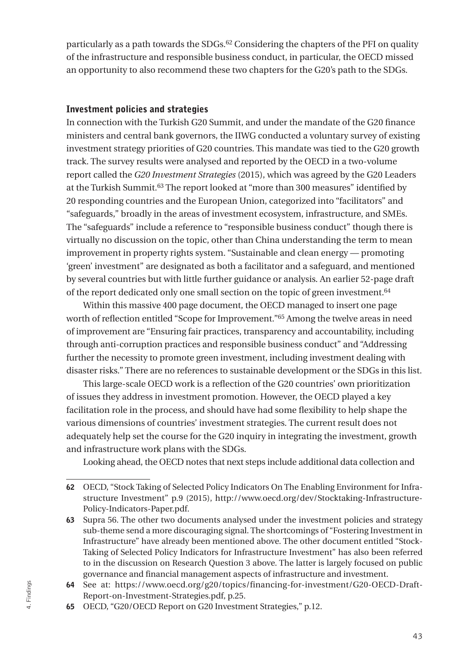particularly as a path towards the SDGs.62 Considering the chapters of the PFI on quality of the infrastructure and responsible business conduct, in particular, the OECD missed an opportunity to also recommend these two chapters for the G20's path to the SDGs.

#### Investment policies and strategies

In connection with the Turkish G20 Summit, and under the mandate of the G20 finance ministers and central bank governors, the IIWG conducted a voluntary survey of existing investment strategy priorities of G20 countries. This mandate was tied to the G20 growth track. The survey results were analysed and reported by the OECD in a two-volume report called the *G20 Investment Strategies* (2015), which was agreed by the G20 Leaders at the Turkish Summit.63 The report looked at "more than 300 measures" identified by 20 responding countries and the European Union, categorized into "facilitators" and "safeguards," broadly in the areas of investment ecosystem, infrastructure, and SMEs. The "safeguards" include a reference to "responsible business conduct" though there is virtually no discussion on the topic, other than China understanding the term to mean improvement in property rights system. "Sustainable and clean energy — promoting 'green' investment" are designated as both a facilitator and a safeguard, and mentioned by several countries but with little further guidance or analysis. An earlier 52-page draft of the report dedicated only one small section on the topic of green investment.64

Within this massive 400 page document, the OECD managed to insert one page worth of reflection entitled "Scope for Improvement."65 Among the twelve areas in need of improvement are "Ensuring fair practices, transparency and accountability, including through anti-corruption practices and responsible business conduct" and "Addressing further the necessity to promote green investment, including investment dealing with disaster risks." There are no references to sustainable development or the SDGs in this list.

This large-scale OECD work is a reflection of the G20 countries' own prioritization of issues they address in investment promotion. However, the OECD played a key facilitation role in the process, and should have had some flexibility to help shape the various dimensions of countries' investment strategies. The current result does not adequately help set the course for the G20 inquiry in integrating the investment, growth and infrastructure work plans with the SDGs.

Looking ahead, the OECD notes that next steps include additional data collection and

<sup>62</sup> OECD, "Stock Taking of Selected Policy Indicators On The Enabling Environment for Infrastructure Investment" p.9 (2015), [http://www.oecd.org/dev/Stocktaking-Infrastructure-](http://www.oecd.org/dev/Stocktaking-Infrastructure-Policy-Indicators-Paper.pdf)[Policy-Indicators-Paper.pdf.](http://www.oecd.org/dev/Stocktaking-Infrastructure-Policy-Indicators-Paper.pdf)

<sup>63</sup> Supra 56. The other two documents analysed under the investment policies and strategy sub-theme send a more discouraging signal. The shortcomings of "Fostering Investment in Infrastructure" have already been mentioned above. The other document entitled "Stock-Taking of Selected Policy Indicators for Infrastructure Investment" has also been referred to in the discussion on Research Question 3 above. The latter is largely focused on public governance and financial management aspects of infrastructure and investment.

<sup>64</sup> See at: h[ttps://www.oecd.org/g20/topics/financing-for-investment/G20-OECD-Draft-](https://www.oecd.org/g20/topics/financing-for-investment/G20-OECD-Draft-Report-on-Investment-Strategies.pdf)[Report-on-Investment-Strategies.pdf,](https://www.oecd.org/g20/topics/financing-for-investment/G20-OECD-Draft-Report-on-Investment-Strategies.pdf) p.25.

<sup>65</sup> OECD, "G20/OECD Report on G20 Investment Strategies," p.12.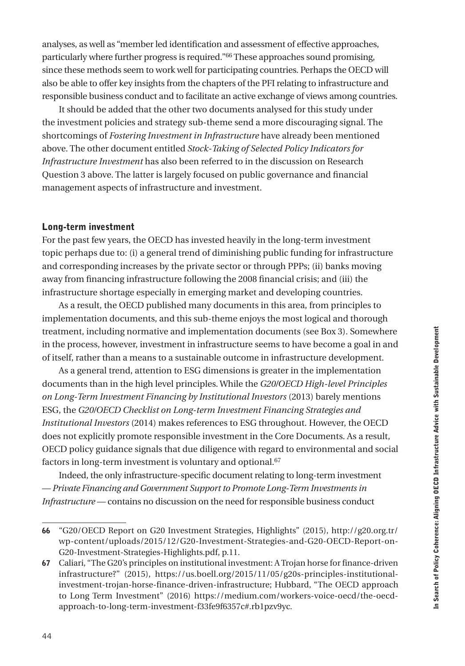analyses, as well as "member led identification and assessment of effective approaches, particularly where further progress is required."66 These approaches sound promising, since these methods seem to work well for participating countries. Perhaps the OECD will also be able to offer key insights from the chapters of the PFI relating to infrastructure and responsible business conduct and to facilitate an active exchange of views among countries.

It should be added that the other two documents analysed for this study under the investment policies and strategy sub-theme send a more discouraging signal. The shortcomings of *Fostering Investment in Infrastructure* have already been mentioned above. The other document entitled *Stock-Taking of Selected Policy Indicators for Infrastructure Investment* has also been referred to in the discussion on Research Question 3 above. The latter is largely focused on public governance and financial management aspects of infrastructure and investment.

#### Long-term investment

For the past few years, the OECD has invested heavily in the long-term investment topic perhaps due to: (i) a general trend of diminishing public funding for infrastructure and corresponding increases by the private sector or through PPPs; (ii) banks moving away from financing infrastructure following the 2008 financial crisis; and (iii) the infrastructure shortage especially in emerging market and developing countries.

As a result, the OECD published many documents in this area, from principles to implementation documents, and this sub-theme enjoys the most logical and thorough treatment, including normative and implementation documents (see Box 3). Somewhere in the process, however, investment in infrastructure seems to have become a goal in and of itself, rather than a means to a sustainable outcome in infrastructure development.

As a general trend, attention to ESG dimensions is greater in the implementation documents than in the high level principles. While the *G20/OECD High-level Principles on Long-Term Investment Financing by Institutional Investors* (2013) barely mentions ESG, the *G20/OECD Checklist on Long-term Investment Financing Strategies and Institutional Investors* (2014) makes references to ESG throughout. However, the OECD does not explicitly promote responsible investment in the Core Documents. As a result, OECD policy guidance signals that due diligence with regard to environmental and social factors in long-term investment is voluntary and optional.67

Indeed, the only infrastructure-specific document relating to long-term investment — *Private Financing and Government Support to Promote Long-Term Investments in Infrastructure —* contains no discussion on the need for responsible business conduct

<sup>66</sup> "G20/OECD Report on G20 Investment Strategies, Highlights" (2015), h[ttp://g20.org.tr/](http://g20.org.tr/wp-content/uploads/2015/12/G20-Investment-Strategies-and-G20-OECD-Report-on-G20-Investment-Strategies-Highlights.pdf) [wp-content/uploads/2015/12/G20-Investment-Strategies-and-G20-OECD-Report-on-](http://g20.org.tr/wp-content/uploads/2015/12/G20-Investment-Strategies-and-G20-OECD-Report-on-G20-Investment-Strategies-Highlights.pdf)[G20-Investment-Strategies-Highlights.pdf,](http://g20.org.tr/wp-content/uploads/2015/12/G20-Investment-Strategies-and-G20-OECD-Report-on-G20-Investment-Strategies-Highlights.pdf) p.11.

<sup>67</sup> Caliari, "The G20's principles on institutional investment: A Trojan horse for finance-driven infrastructure?" (2015), [https://us.boell.org/2015/11/05/g20s-principles-institutional](https://us.boell.org/2015/11/05/g20s-principles-institutional-investment-trojan-horse-finance-driven-infrastructure)[investment-trojan-horse-finance-driven-infrastructure;](https://us.boell.org/2015/11/05/g20s-principles-institutional-investment-trojan-horse-finance-driven-infrastructure) Hubbard, "The OECD approach to Long Term Investment" (2016) h[ttps://medium.com/workers-voice-oecd/the-oecd](https://medium.com/workers-voice-oecd/the-oecd-approach-to-long-term-investment-f33fe9f6357c%23.rb1pzv9yc)[approach-to-long-term-investment-f33fe9f6357c#.rb1pzv9yc.](https://medium.com/workers-voice-oecd/the-oecd-approach-to-long-term-investment-f33fe9f6357c%23.rb1pzv9yc)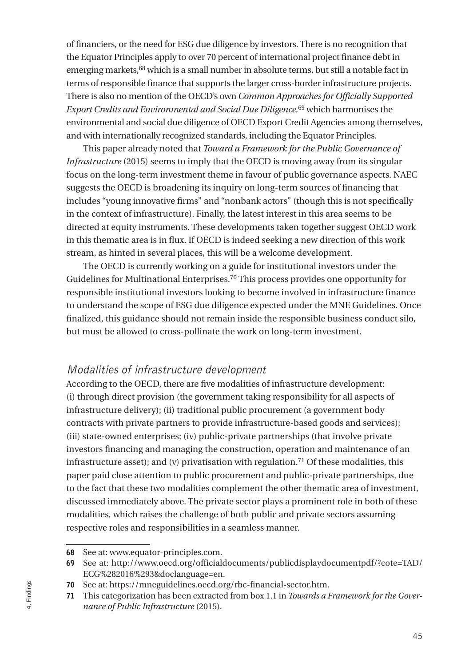of financiers, or the need for ESG due diligence by investors. There is no recognition that the Equator Principles apply to over 70 percent of international project finance debt in emerging markets,68 which is a small number in absolute terms, but still a notable fact in terms of responsible finance that supports the larger cross-border infrastructure projects. There is also no mention of the OECD's own *Common Approaches for Officially Supported Export Credits and Environmental and Social Due Diligence,*69 which harmonises the environmental and social due diligence of OECD Export Credit Agencies among themselves, and with internationally recognized standards, including the Equator Principles.

This paper already noted that *Toward a Framework for the Public Governance of Infrastructure* (2015) seems to imply that the OECD is moving away from its singular focus on the long-term investment theme in favour of public governance aspects. NAEC suggests the OECD is broadening its inquiry on long-term sources of financing that includes "young innovative firms" and "nonbank actors" (though this is not specifically in the context of infrastructure). Finally, the latest interest in this area seems to be directed at equity instruments. These developments taken together suggest OECD work in this thematic area is in flux. If OECD is indeed seeking a new direction of this work stream, as hinted in several places, this will be a welcome development.

The OECD is currently working on a guide for institutional investors under the Guidelines for Multinational Enterprises.70 This process provides one opportunity for responsible institutional investors looking to become involved in infrastructure finance to understand the scope of ESG due diligence expected under the MNE Guidelines. Once finalized, this guidance should not remain inside the responsible business conduct silo, but must be allowed to cross-pollinate the work on long-term investment.

#### Modalities of infrastructure development

According to the OECD, there are five modalities of infrastructure development: (i) through direct provision (the government taking responsibility for all aspects of infrastructure delivery); (ii) traditional public procurement (a government body contracts with private partners to provide infrastructure-based goods and services); (iii) state-owned enterprises; (iv) public-private partnerships (that involve private investors financing and managing the construction, operation and maintenance of an infrastructure asset); and (v) privatisation with regulation.<sup>71</sup> Of these modalities, this paper paid close attention to public procurement and public-private partnerships, due to the fact that these two modalities complement the other thematic area of investment, discussed immediately above. The private sector plays a prominent role in both of these modalities, which raises the challenge of both public and private sectors assuming respective roles and responsibilities in a seamless manner.

<sup>68</sup> See at: [www.equator-principles.com.](http://www.equator-principles.com)

<sup>69</sup> See at: [http://www.oecd.org/officialdocuments/publicdisplaydocumentpdf/?cote=TAD/](http://www.oecd.org/officialdocuments/publicdisplaydocumentpdf/?cote=TAD/ECG%25282016%25293&doclanguage=en) [ECG%282016%293&doclanguage=en.](http://www.oecd.org/officialdocuments/publicdisplaydocumentpdf/?cote=TAD/ECG%25282016%25293&doclanguage=en)

<sup>70</sup> See at: [https://mneguidelines.oecd.org/rbc-financial-sector.htm.](https://mneguidelines.oecd.org/rbc-financial-sector.htm)

<sup>71</sup> This categorization has been extracted from box 1.1 in *Towards a Framework for the Governance of Public Infrastructure* (2015).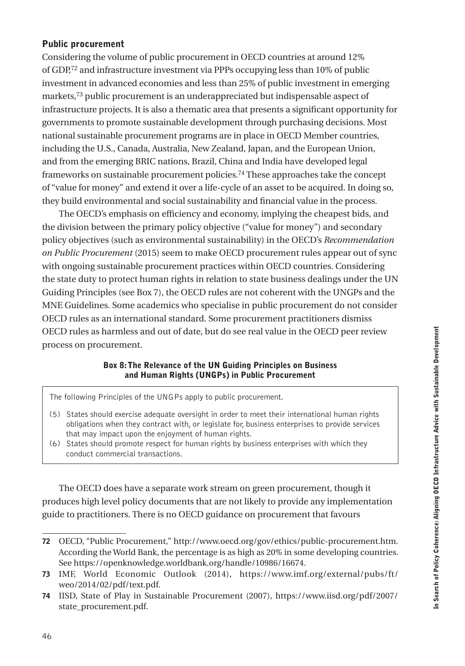#### <span id="page-47-0"></span>Public procurement

Considering the volume of public procurement in OECD countries at around 12% of GDP,72 and infrastructure investment via PPPs occupying less than 10% of public investment in advanced economies and less than 25% of public investment in emerging markets,73 public procurement is an underappreciated but indispensable aspect of infrastructure projects. It is also a thematic area that presents a significant opportunity for governments to promote sustainable development through purchasing decisions. Most national sustainable procurement programs are in place in OECD Member countries, including the U.S., Canada, Australia, New Zealand, Japan, and the European Union, and from the emerging BRIC nations, Brazil, China and India have developed legal frameworks on sustainable procurement policies.74 These approaches take the concept of "value for money" and extend it over a life-cycle of an asset to be acquired. In doing so, they build environmental and social sustainability and financial value in the process.

The OECD's emphasis on efficiency and economy, implying the cheapest bids, and the division between the primary policy objective ("value for money") and secondary policy objectives (such as environmental sustainability) in the OECD's *Recommendation on Public Procurement* (2015) seem to make OECD procurement rules appear out of sync with ongoing sustainable procurement practices within OECD countries. Considering the state duty to protect human rights in relation to state business dealings under the UN Guiding Principles (see Box 7), the OECD rules are not coherent with the UNGPs and the MNE Guidelines. Some academics who specialise in public procurement do not consider OECD rules as an international standard. Some procurement practitioners dismiss OECD rules as harmless and out of date, but do see real value in the OECD peer review process on procurement.

#### Box 8: The Relevance of the UN Guiding Principles on Business and Human Rights (UNGPs) in Public Procurement

The following Principles of the UNGPs apply to public procurement.

- (5) States should exercise adequate oversight in order to meet their international human rights obligations when they contract with, or legislate for, business enterprises to provide services that may impact upon the enjoyment of human rights.
- (6) States should promote respect for human rights by business enterprises with which they conduct commercial transactions.

The OECD does have a separate work stream on green procurement, though it produces high level policy documents that are not likely to provide any implementation guide to practitioners. There is no OECD guidance on procurement that favours

<sup>72</sup> OECD, "Public Procurement," h[ttp://www.oecd.org/gov/ethics/public-procurement.htm](http://www.oecd.org/gov/ethics/public-procurement.htm). According the World Bank, the percentage is as high as 20% in some developing countries. See https://openknowledge.worldbank.org/handle/10986/16674.

<sup>73</sup> IMF, World Economic Outlook (2014), h[ttps://www.imf.org/external/pubs/ft/](https://www.imf.org/external/pubs/ft/weo/2014/02/pdf/text.pdf) [weo/2014/02/pdf/text.pdf](https://www.imf.org/external/pubs/ft/weo/2014/02/pdf/text.pdf).

<sup>74</sup> IISD, State of Play in Sustainable Procurement (2007), [https://www.iisd.org/pdf/2007/](https://www.iisd.org/pdf/2007/state_procurement.pdf) [state\\_procurement.pdf.](https://www.iisd.org/pdf/2007/state_procurement.pdf)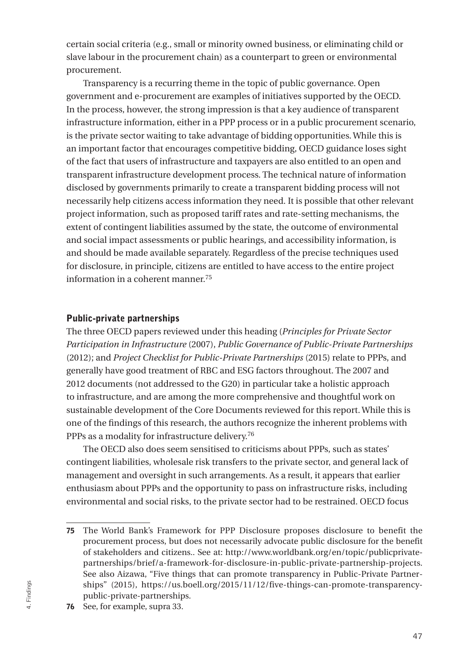certain social criteria (e.g., small or minority owned business, or eliminating child or slave labour in the procurement chain) as a counterpart to green or environmental procurement.

Transparency is a recurring theme in the topic of public governance. Open government and e-procurement are examples of initiatives supported by the OECD. In the process, however, the strong impression is that a key audience of transparent infrastructure information, either in a PPP process or in a public procurement scenario, is the private sector waiting to take advantage of bidding opportunities. While this is an important factor that encourages competitive bidding, OECD guidance loses sight of the fact that users of infrastructure and taxpayers are also entitled to an open and transparent infrastructure development process. The technical nature of information disclosed by governments primarily to create a transparent bidding process will not necessarily help citizens access information they need. It is possible that other relevant project information, such as proposed tariff rates and rate-setting mechanisms, the extent of contingent liabilities assumed by the state, the outcome of environmental and social impact assessments or public hearings, and accessibility information, is and should be made available separately. Regardless of the precise techniques used for disclosure, in principle, citizens are entitled to have access to the entire project information in a coherent manner.75

#### Public-private partnerships

The three OECD papers reviewed under this heading (*Principles for Private Sector Participation in Infrastructure* (2007), *Public Governance of Public-Private Partnerships*  (2012); and *Project Checklist for Public-Private Partnerships* (2015) relate to PPPs, and generally have good treatment of RBC and ESG factors throughout. The 2007 and 2012 documents (not addressed to the G20) in particular take a holistic approach to infrastructure, and are among the more comprehensive and thoughtful work on sustainable development of the Core Documents reviewed for this report. While this is one of the findings of this research, the authors recognize the inherent problems with PPPs as a modality for infrastructure delivery.<sup>76</sup>

The OECD also does seem sensitised to criticisms about PPPs, such as states' contingent liabilities, wholesale risk transfers to the private sector, and general lack of management and oversight in such arrangements. As a result, it appears that earlier enthusiasm about PPPs and the opportunity to pass on infrastructure risks, including environmental and social risks, to the private sector had to be restrained. OECD focus

<sup>75</sup> The World Bank's Framework for PPP Disclosure proposes disclosure to benefit the procurement process, but does not necessarily advocate public disclosure for the benefit of stakeholders and citizens.. See at: [http://www.worldbank.org/en/topic/publicprivate](http://www.worldbank.org/en/topic/publicprivatepartnerships/brief/a-framework-for-disclosure-in-public-private-partnership-projects)[partnerships/brief/a-framework-for-disclosure-in-public-private-partnership-projects.](http://www.worldbank.org/en/topic/publicprivatepartnerships/brief/a-framework-for-disclosure-in-public-private-partnership-projects) See also Aizawa, "Five things that can promote transparency in Public-Private Partnerships" (2015), [https://us.boell.org/2015/11/12/five-things-can-promote-transparency](https://us.boell.org/2015/11/12/five-things-can-promote-transparency-public-private-partnerships)[public-private-partnerships](https://us.boell.org/2015/11/12/five-things-can-promote-transparency-public-private-partnerships).

<sup>76</sup> See, for example, supra 33.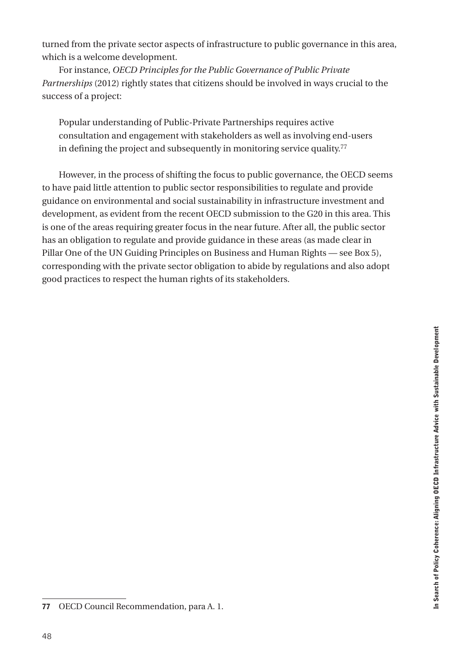turned from the private sector aspects of infrastructure to public governance in this area, which is a welcome development.

For instance, *OECD Principles for the Public Governance of Public Private Partnerships* (2012) rightly states that citizens should be involved in ways crucial to the success of a project:

Popular understanding of Public-Private Partnerships requires active consultation and engagement with stakeholders as well as involving end-users in defining the project and subsequently in monitoring service quality. $77$ 

However, in the process of shifting the focus to public governance, the OECD seems to have paid little attention to public sector responsibilities to regulate and provide guidance on environmental and social sustainability in infrastructure investment and development, as evident from the recent OECD submission to the G20 in this area. This is one of the areas requiring greater focus in the near future. After all, the public sector has an obligation to regulate and provide guidance in these areas (as made clear in Pillar One of the UN Guiding Principles on Business and Human Rights — see Box 5), corresponding with the private sector obligation to abide by regulations and also adopt good practices to respect the human rights of its stakeholders.

<sup>77</sup> OECD Council Recommendation, para A. 1.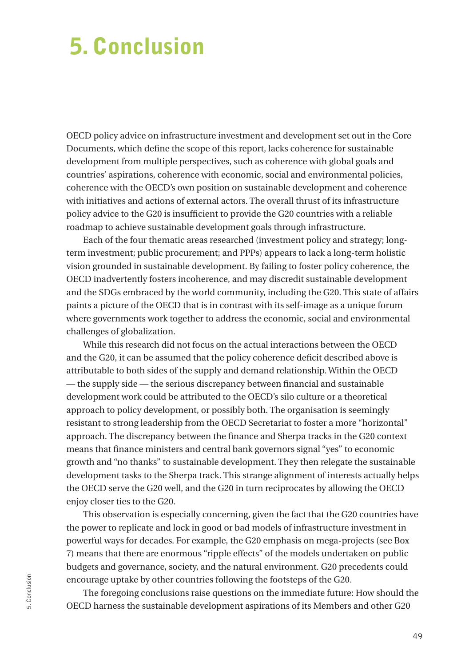## <span id="page-50-0"></span>5. Conclusion

OECD policy advice on infrastructure investment and development set out in the Core Documents, which define the scope of this report, lacks coherence for sustainable development from multiple perspectives, such as coherence with global goals and countries' aspirations, coherence with economic, social and environmental policies, coherence with the OECD's own position on sustainable development and coherence with initiatives and actions of external actors. The overall thrust of its infrastructure policy advice to the G20 is insufficient to provide the G20 countries with a reliable roadmap to achieve sustainable development goals through infrastructure.

Each of the four thematic areas researched (investment policy and strategy; longterm investment; public procurement; and PPPs) appears to lack a long-term holistic vision grounded in sustainable development. By failing to foster policy coherence, the OECD inadvertently fosters incoherence, and may discredit sustainable development and the SDGs embraced by the world community, including the G20. This state of affairs paints a picture of the OECD that is in contrast with its self-image as a unique forum where governments work together to address the economic, social and environmental challenges of globalization.

While this research did not focus on the actual interactions between the OECD and the G20, it can be assumed that the policy coherence deficit described above is attributable to both sides of the supply and demand relationship. Within the OECD — the supply side — the serious discrepancy between financial and sustainable development work could be attributed to the OECD's silo culture or a theoretical approach to policy development, or possibly both. The organisation is seemingly resistant to strong leadership from the OECD Secretariat to foster a more "horizontal" approach. The discrepancy between the finance and Sherpa tracks in the G20 context means that finance ministers and central bank governors signal "yes" to economic growth and "no thanks" to sustainable development. They then relegate the sustainable development tasks to the Sherpa track. This strange alignment of interests actually helps the OECD serve the G20 well, and the G20 in turn reciprocates by allowing the OECD enjoy closer ties to the G20.

This observation is especially concerning, given the fact that the G20 countries have the power to replicate and lock in good or bad models of infrastructure investment in powerful ways for decades. For example, the G20 emphasis on mega-projects (see Box 7) means that there are enormous "ripple effects" of the models undertaken on public budgets and governance, society, and the natural environment. G20 precedents could encourage uptake by other countries following the footsteps of the G20.

The foregoing conclusions raise questions on the immediate future: How should the OECD harness the sustainable development aspirations of its Members and other G20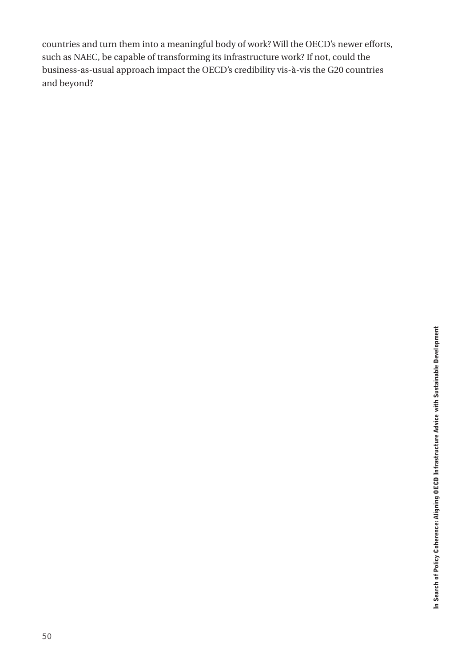countries and turn them into a meaningful body of work? Will the OECD's newer efforts, such as NAEC, be capable of transforming its infrastructure work? If not, could the business-as-usual approach impact the OECD's credibility vis-à-vis the G20 countries and beyond?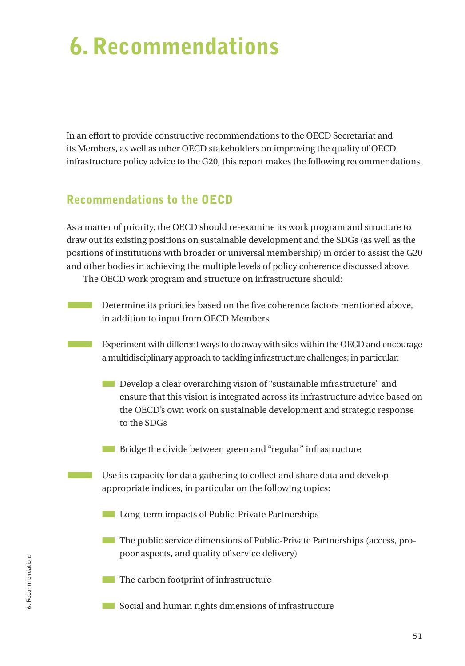## <span id="page-52-0"></span>6. Recommendations

In an effort to provide constructive recommendations to the OECD Secretariat and its Members, as well as other OECD stakeholders on improving the quality of OECD infrastructure policy advice to the G20, this report makes the following recommendations.

### Recommendations to the OECD

As a matter of priority, the OECD should re-examine its work program and structure to draw out its existing positions on sustainable development and the SDGs (as well as the positions of institutions with broader or universal membership) in order to assist the G20 and other bodies in achieving the multiple levels of policy coherence discussed above. The OECD work program and structure on infrastructure should:

- Determine its priorities based on the five coherence factors mentioned above, in addition to input from OECD Members
	- **EXPERIMENT EXPERIMENT WAYS TO A EXPERIMENT WAYS TO A EXPERIMENT A EXPERIMENT EXPLORER STATES.** EXPLORER EXPLORER a multidisciplinary approach to tackling infrastructure challenges; in particular:
		- **EXECUTE:** Develop a clear overarching vision of "sustainable infrastructure" and ensure that this vision is integrated across its infrastructure advice based on the OECD's own work on sustainable development and strategic response to the SDGs
		- **EXECUTE:** Bridge the divide between green and "regular" infrastructure
		- Use its capacity for data gathering to collect and share data and develop appropriate indices, in particular on the following topics:
			- **EXECUTE:** Long-term impacts of Public-Private Partnerships
			- **The public service dimensions of Public-Private Partnerships (access, pro**poor aspects, and quality of service delivery)
			- **The carbon footprint of infrastructure**
			- Social and human rights dimensions of infrastructure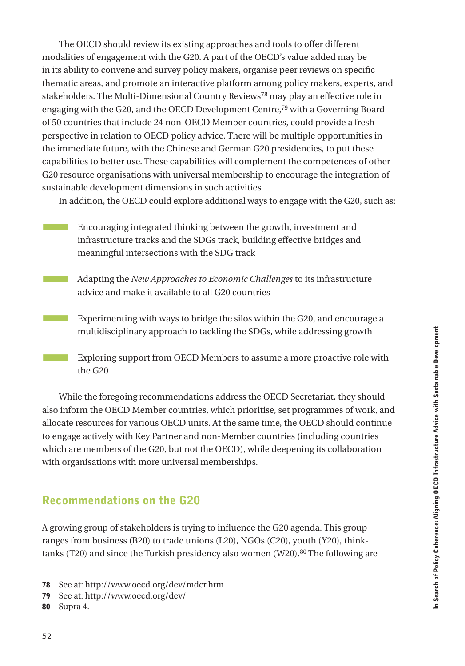<span id="page-53-0"></span>The OECD should review its existing approaches and tools to offer different modalities of engagement with the G20. A part of the OECD's value added may be in its ability to convene and survey policy makers, organise peer reviews on specific thematic areas, and promote an interactive platform among policy makers, experts, and stakeholders. The Multi-Dimensional Country Reviews78 may play an effective role in engaging with the G20, and the OECD Development Centre,79 with a Governing Board of 50 countries that include 24 non-OECD Member countries, could provide a fresh perspective in relation to OECD policy advice. There will be multiple opportunities in the immediate future, with the Chinese and German G20 presidencies, to put these capabilities to better use. These capabilities will complement the competences of other G20 resource organisations with universal membership to encourage the integration of sustainable development dimensions in such activities.

In addition, the OECD could explore additional ways to engage with the G20, such as:

- **EXECUTE:** Encouraging integrated thinking between the growth, investment and infrastructure tracks and the SDGs track, building effective bridges and meaningful intersections with the SDG track
	- Adapting the *New Approaches to Economic Challenges* to its infrastructure advice and make it available to all G20 countries
	- **EXPERIMENT EXPERIMENT IS EXPERIMENT IN EXPERIMENT IS EXPERIMENTED** EXPERIMENT EXPEDIMENT EXPEDIMENT EXPEDIMENT EXP multidisciplinary approach to tackling the SDGs, while addressing growth
		- Exploring support from OECD Members to assume a more proactive role with the G20

While the foregoing recommendations address the OECD Secretariat, they should also inform the OECD Member countries, which prioritise, set programmes of work, and allocate resources for various OECD units. At the same time, the OECD should continue to engage actively with Key Partner and non-Member countries (including countries which are members of the G20, but not the OECD), while deepening its collaboration with organisations with more universal memberships.

## Recommendations on the G20

A growing group of stakeholders is trying to influence the G20 agenda. This group ranges from business (B20) to trade unions (L20), NGOs (C20), youth (Y20), thinktanks (T20) and since the Turkish presidency also women (W20).<sup>80</sup> The following are

<sup>78</sup> See at: <http://www.oecd.org/dev/mdcr.htm>

<sup>79</sup> See at: <http://www.oecd.org/dev/>

<sup>80</sup> Supra 4.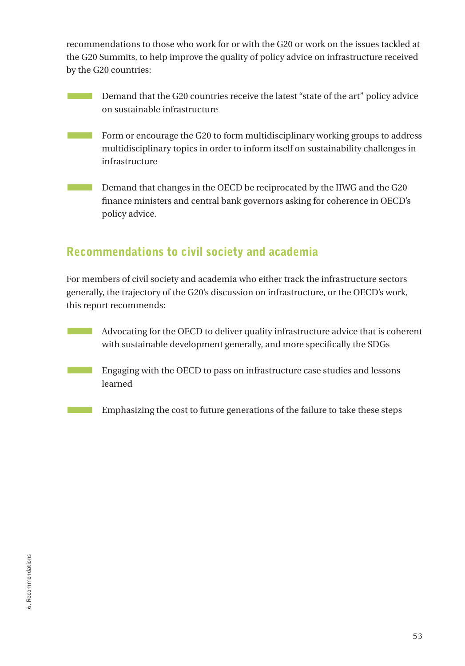<span id="page-54-0"></span>recommendations to those who work for or with the G20 or work on the issues tackled at the G20 Summits, to help improve the quality of policy advice on infrastructure received by the G20 countries:

- **EXECUTE:** Demand that the G20 countries receive the latest "state of the art" policy advice on sustainable infrastructure
- **EXECUTE:** Form or encourage the G20 to form multidisciplinary working groups to address multidisciplinary topics in order to inform itself on sustainability challenges in infrastructure
- **Example 20** Demand that changes in the OECD be reciprocated by the IIWG and the G20 finance ministers and central bank governors asking for coherence in OECD's policy advice.

## Recommendations to civil society and academia

For members of civil society and academia who either track the infrastructure sectors generally, the trajectory of the G20's discussion on infrastructure, or the OECD's work, this report recommends:

- **Example 3** Advocating for the OECD to deliver quality infrastructure advice that is coherent with sustainable development generally, and more specifically the SDGs
- **EXECUTE:** Engaging with the OECD to pass on infrastructure case studies and lessons learned
- **EMPILE EMPIRE 1** Emphasizing the cost to future generations of the failure to take these steps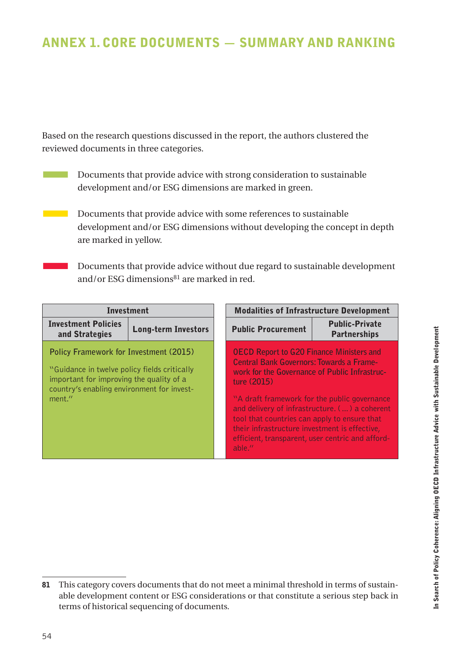## <span id="page-55-0"></span>Annex 1. Core Documents — Summary and Ranking

Based on the research questions discussed in the report, the authors clustered the reviewed documents in three categories.

- Documents that provide advice with strong consideration to sustainable development and/or ESG dimensions are marked in green.
- **Example 20** Documents that provide advice with some references to sustainable development and/or ESG dimensions without developing the concept in depth are marked in yellow.
	- Documents that provide advice without due regard to sustainable development and/or ESG dimensions $81$  are marked in red.

| <b>Investment</b>                                                                                                                                                                                 |                            | <b>Modalities of Infrastructure Development</b>                                                                                                                                                                                                                                                                                                                                    |                                               |
|---------------------------------------------------------------------------------------------------------------------------------------------------------------------------------------------------|----------------------------|------------------------------------------------------------------------------------------------------------------------------------------------------------------------------------------------------------------------------------------------------------------------------------------------------------------------------------------------------------------------------------|-----------------------------------------------|
| <b>Investment Policies</b><br>and Strategies                                                                                                                                                      | <b>Long-term Investors</b> | <b>Public Procurement</b>                                                                                                                                                                                                                                                                                                                                                          | <b>Public-Private</b><br><b>Partnerships</b>  |
| <b>Policy Framework for Investment (2015)</b><br>"Guidance in twelve policy fields critically<br>important for improving the quality of a<br>country's enabling environment for invest-<br>ment." |                            | <b>OECD Report to G20 Finance Ministers and</b><br><b>Central Bank Governors: Towards a Frame-</b><br>work for the Governance of Public Infrastruc-<br>ture (2015)<br>"A draft framework for the public governance"<br>tool that countries can apply to ensure that<br>their infrastructure investment is effective,<br>efficient, transparent, user centric and afford-<br>able." | and delivery of infrastructure. () a coherent |

<sup>81</sup> This category covers documents that do not meet a minimal threshold in terms of sustainable development content or ESG considerations or that constitute a serious step back in terms of historical sequencing of documents.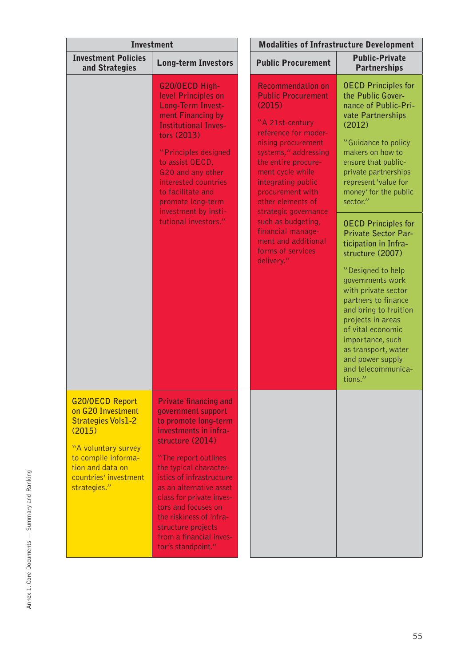| <b>Investment</b>                                                                                                                                                                             |                                                                                                                                                                                                                                                                                                                                                                                       | <b>Modalities of Infrastructure Development</b>                                                                                                                                                                                                                                                                                                                                                 |                                                                                                                                                                                                                                                                                                                                                                                                                                                                                                                                                                                                                                 |  |
|-----------------------------------------------------------------------------------------------------------------------------------------------------------------------------------------------|---------------------------------------------------------------------------------------------------------------------------------------------------------------------------------------------------------------------------------------------------------------------------------------------------------------------------------------------------------------------------------------|-------------------------------------------------------------------------------------------------------------------------------------------------------------------------------------------------------------------------------------------------------------------------------------------------------------------------------------------------------------------------------------------------|---------------------------------------------------------------------------------------------------------------------------------------------------------------------------------------------------------------------------------------------------------------------------------------------------------------------------------------------------------------------------------------------------------------------------------------------------------------------------------------------------------------------------------------------------------------------------------------------------------------------------------|--|
| <b>Investment Policies</b><br>and Strategies                                                                                                                                                  | <b>Long-term Investors</b>                                                                                                                                                                                                                                                                                                                                                            | <b>Public Procurement</b>                                                                                                                                                                                                                                                                                                                                                                       | <b>Public-Private</b><br><b>Partnerships</b>                                                                                                                                                                                                                                                                                                                                                                                                                                                                                                                                                                                    |  |
|                                                                                                                                                                                               | G20/OECD High-<br>level Principles on<br>Long-Term Invest-<br>ment Financing by<br><b>Institutional Inves-</b><br>tors (2013)<br>"Principles designed<br>to assist OECD,<br>G20 and any other<br>interested countries<br>to facilitate and<br>promote long-term<br>investment by insti-<br>tutional investors."                                                                       | <b>Recommendation on</b><br><b>Public Procurement</b><br>(2015)<br>"A 21st-century<br>reference for moder-<br>nising procurement<br>systems," addressing<br>the entire procure-<br>ment cycle while<br>integrating public<br>procurement with<br>other elements of<br>strategic governance<br>such as budgeting,<br>financial manage-<br>ment and additional<br>forms of services<br>delivery." | <b>OECD Principles for</b><br>the Public Gover-<br>nance of Public-Pri-<br>vate Partnerships<br>(2012)<br>"Guidance to policy<br>makers on how to<br>ensure that public-<br>private partnerships<br>represent 'value for<br>money' for the public<br>sector."<br><b>OECD Principles for</b><br><b>Private Sector Par-</b><br>ticipation in Infra-<br>structure (2007)<br>"Designed to help<br>governments work<br>with private sector<br>partners to finance<br>and bring to fruition<br>projects in areas<br>of vital economic<br>importance, such<br>as transport, water<br>and power supply<br>and telecommunica-<br>tions." |  |
| <b>G20/OECD Report</b><br>on G20 Investment<br><b>Strategies Vols1-2</b><br>(2015)<br>"A voluntary survey<br>to compile informa-<br>tion and data on<br>countries' investment<br>strategies." | <b>Private financing and</b><br>government support<br>to promote long-term<br>investments in infra-<br>structure (2014)<br>"The report outlines<br>the typical character-<br>istics of infrastructure<br>as an alternative asset<br>class for private inves-<br>tors and focuses on<br>the riskiness of infra-<br>structure projects<br>from a financial inves-<br>tor's standpoint." |                                                                                                                                                                                                                                                                                                                                                                                                 |                                                                                                                                                                                                                                                                                                                                                                                                                                                                                                                                                                                                                                 |  |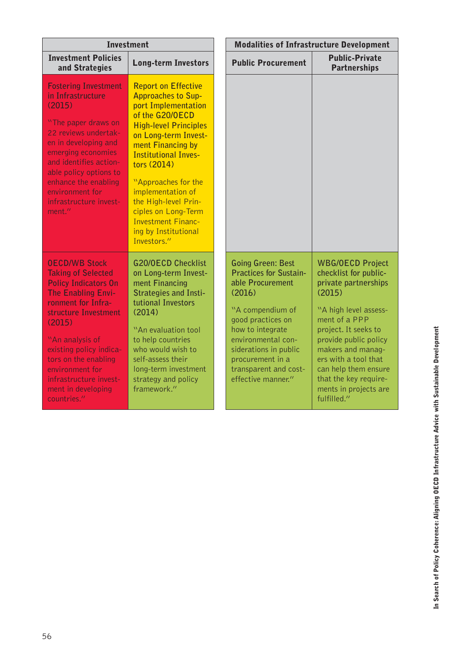| <b>Investment</b>                                                                                                                                                                                                                                                                                                      |                                                                                                                                                                                                                                                                                                                                                                                             | <b>Modalities of Infrastructure Development</b>                                                                                                                                                                                                                        |                                                                                                                                                                                                                                                                                                                     |  |
|------------------------------------------------------------------------------------------------------------------------------------------------------------------------------------------------------------------------------------------------------------------------------------------------------------------------|---------------------------------------------------------------------------------------------------------------------------------------------------------------------------------------------------------------------------------------------------------------------------------------------------------------------------------------------------------------------------------------------|------------------------------------------------------------------------------------------------------------------------------------------------------------------------------------------------------------------------------------------------------------------------|---------------------------------------------------------------------------------------------------------------------------------------------------------------------------------------------------------------------------------------------------------------------------------------------------------------------|--|
| <b>Investment Policies</b><br>and Strategies                                                                                                                                                                                                                                                                           | <b>Long-term Investors</b>                                                                                                                                                                                                                                                                                                                                                                  | <b>Public Procurement</b>                                                                                                                                                                                                                                              | <b>Public-Private</b><br><b>Partnerships</b>                                                                                                                                                                                                                                                                        |  |
| <b>Fostering Investment</b><br>in Infrastructure<br>(2015)<br>"The paper draws on<br>22 reviews undertak-<br>en in developing and<br>emerging economies<br>and identifies action-<br>able policy options to<br>enhance the enabling<br>environment for<br>infrastructure invest-<br>ment."                             | <b>Report on Effective</b><br><b>Approaches to Sup-</b><br>port Implementation<br>of the G20/OECD<br><b>High-level Principles</b><br>on Long-term Invest-<br>ment Financing by<br><b>Institutional Inves-</b><br>tors (2014)<br>"Approaches for the<br>implementation of<br>the High-level Prin-<br>ciples on Long-Term<br><b>Investment Financ-</b><br>ing by Institutional<br>Investors." |                                                                                                                                                                                                                                                                        |                                                                                                                                                                                                                                                                                                                     |  |
| <b>OECD/WB Stock</b><br><b>Taking of Selected</b><br><b>Policy Indicators On</b><br>The Enabling Envi-<br>ronment for Infra-<br>structure Investment<br>(2015)<br>"An analysis of<br>existing policy indica-<br>tors on the enabling<br>environment for<br>infrastructure invest-<br>ment in developing<br>countries." | <b>G20/OECD Checklist</b><br>on Long-term Invest-<br>ment Financing<br><b>Strategies and Insti-</b><br><b>tutional Investors</b><br>(2014)<br>"An evaluation tool<br>to help countries<br>who would wish to<br>self-assess their<br>long-term investment<br>strategy and policy<br>framework."                                                                                              | <b>Going Green: Best</b><br><b>Practices for Sustain-</b><br>able Procurement<br>(2016)<br>"A compendium of<br>good practices on<br>how to integrate<br>environmental con-<br>siderations in public<br>procurement in a<br>transparent and cost-<br>effective manner." | <b>WBG/OECD Project</b><br>checklist for public-<br>private partnerships<br>(2015)<br>"A high level assess-<br>ment of a PPP<br>project. It seeks to<br>provide public policy<br>makers and manag-<br>ers with a tool that<br>can help them ensure<br>that the key require-<br>ments in projects are<br>fulfilled." |  |